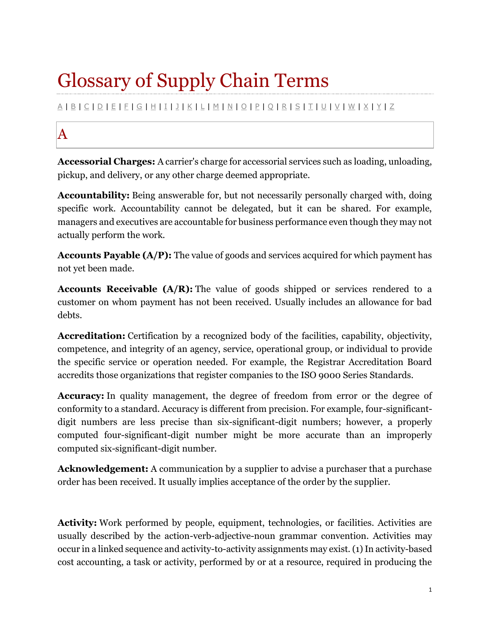# Glossary of Supply Chain Terms

### [A](http://www.inboundlogistics.com/cms/logistics-glossary/#A) | [B](http://www.inboundlogistics.com/cms/logistics-glossary/#B) | [C](http://www.inboundlogistics.com/cms/logistics-glossary/#C) | [D](http://www.inboundlogistics.com/cms/logistics-glossary/#D) | [E](http://www.inboundlogistics.com/cms/logistics-glossary/#E) | [F](http://www.inboundlogistics.com/cms/logistics-glossary/#F) | [G](http://www.inboundlogistics.com/cms/logistics-glossary/#G) | [H](http://www.inboundlogistics.com/cms/logistics-glossary/#H) | [I](http://www.inboundlogistics.com/cms/logistics-glossary/#I) | [J](http://www.inboundlogistics.com/cms/logistics-glossary/#J) | [K](http://www.inboundlogistics.com/cms/logistics-glossary/#K) | [L](http://www.inboundlogistics.com/cms/logistics-glossary/#L) | [M](http://www.inboundlogistics.com/cms/logistics-glossary/#M) | [N](http://www.inboundlogistics.com/cms/logistics-glossary/#N) | [O](http://www.inboundlogistics.com/cms/logistics-glossary/#O) | [P](http://www.inboundlogistics.com/cms/logistics-glossary/#P) | [Q](http://www.inboundlogistics.com/cms/logistics-glossary/#Q) | [R](http://www.inboundlogistics.com/cms/logistics-glossary/#R) | [S](http://www.inboundlogistics.com/cms/logistics-glossary/#S) | [T](http://www.inboundlogistics.com/cms/logistics-glossary/#T) | [U](http://www.inboundlogistics.com/cms/logistics-glossary/#U) | [V](http://www.inboundlogistics.com/cms/logistics-glossary/#V) | [W](http://www.inboundlogistics.com/cms/logistics-glossary/#W) | [X](http://www.inboundlogistics.com/cms/logistics-glossary/#X) | [Y](http://www.inboundlogistics.com/cms/logistics-glossary/#Y) | [Z](http://www.inboundlogistics.com/cms/logistics-glossary/#Z)

# A

**Accessorial Charges:** A carrier's charge for accessorial services such as loading, unloading, pickup, and delivery, or any other charge deemed appropriate.

**Accountability:** Being answerable for, but not necessarily personally charged with, doing specific work. Accountability cannot be delegated, but it can be shared. For example, managers and executives are accountable for business performance even though they may not actually perform the work.

**Accounts Payable (A/P):** The value of goods and services acquired for which payment has not yet been made.

**Accounts Receivable (A/R):** The value of goods shipped or services rendered to a customer on whom payment has not been received. Usually includes an allowance for bad debts.

**Accreditation:** Certification by a recognized body of the facilities, capability, objectivity, competence, and integrity of an agency, service, operational group, or individual to provide the specific service or operation needed. For example, the Registrar Accreditation Board accredits those organizations that register companies to the ISO 9000 Series Standards.

**Accuracy:** In quality management, the degree of freedom from error or the degree of conformity to a standard. Accuracy is different from precision. For example, four-significantdigit numbers are less precise than six-significant-digit numbers; however, a properly computed four-significant-digit number might be more accurate than an improperly computed six-significant-digit number.

**Acknowledgement:** A communication by a supplier to advise a purchaser that a purchase order has been received. It usually implies acceptance of the order by the supplier.

**Activity:** Work performed by people, equipment, technologies, or facilities. Activities are usually described by the action-verb-adjective-noun grammar convention. Activities may occur in a linked sequence and activity-to-activity assignments may exist. (1) In activity-based cost accounting, a task or activity, performed by or at a resource, required in producing the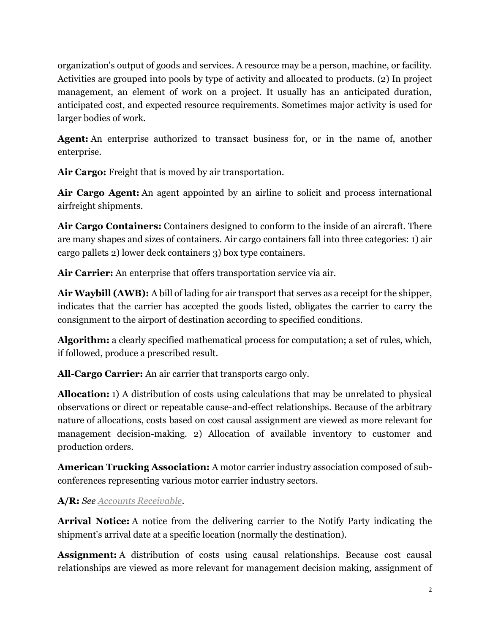organization's output of goods and services. A resource may be a person, machine, or facility. Activities are grouped into pools by type of activity and allocated to products. (2) In project management, an element of work on a project. It usually has an anticipated duration, anticipated cost, and expected resource requirements. Sometimes major activity is used for larger bodies of work.

**Agent:** An enterprise authorized to transact business for, or in the name of, another enterprise.

**Air Cargo:** Freight that is moved by air transportation.

**Air Cargo Agent:** An agent appointed by an airline to solicit and process international airfreight shipments.

**Air Cargo Containers:** Containers designed to conform to the inside of an aircraft. There are many shapes and sizes of containers. Air cargo containers fall into three categories: 1) air cargo pallets 2) lower deck containers 3) box type containers.

**Air Carrier:** An enterprise that offers transportation service via air.

**Air Waybill (AWB):** A bill of lading for air transport that serves as a receipt for the shipper, indicates that the carrier has accepted the goods listed, obligates the carrier to carry the consignment to the airport of destination according to specified conditions.

**Algorithm:** a clearly specified mathematical process for computation; a set of rules, which, if followed, produce a prescribed result.

**All-Cargo Carrier:** An air carrier that transports cargo only.

**Allocation:** 1) A distribution of costs using calculations that may be unrelated to physical observations or direct or repeatable cause-and-effect relationships. Because of the arbitrary nature of allocations, costs based on cost causal assignment are viewed as more relevant for management decision-making. 2) Allocation of available inventory to customer and production orders.

**American Trucking Association:** A motor carrier industry association composed of subconferences representing various motor carrier industry sectors.

### **A/R:** *See [Accounts Receivable](http://www.inboundlogistics.com/cms/logistics-glossary/#Accounts_Receivable)*.

**Arrival Notice:** A notice from the delivering carrier to the Notify Party indicating the shipment's arrival date at a specific location (normally the destination).

**Assignment:** A distribution of costs using causal relationships. Because cost causal relationships are viewed as more relevant for management decision making, assignment of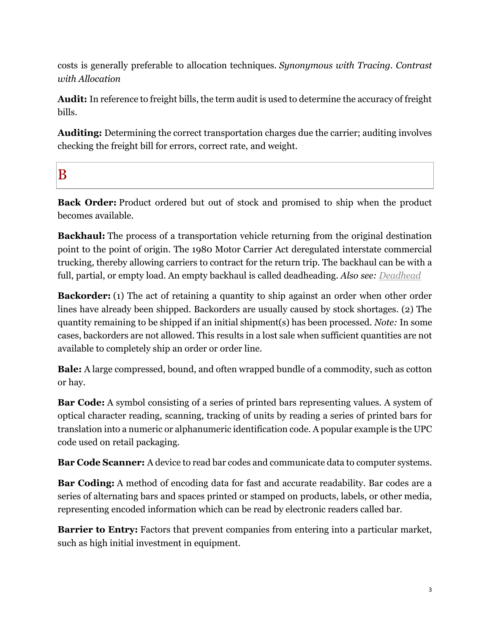costs is generally preferable to allocation techniques. *Synonymous with Tracing. Contrast with Allocation*

**Audit:** In reference to freight bills, the term audit is used to determine the accuracy of freight bills.

**Auditing:** Determining the correct transportation charges due the carrier; auditing involves checking the freight bill for errors, correct rate, and weight.

B

**Back Order:** Product ordered but out of stock and promised to ship when the product becomes available.

**Backhaul:** The process of a transportation vehicle returning from the original destination point to the point of origin. The 1980 Motor Carrier Act deregulated interstate commercial trucking, thereby allowing carriers to contract for the return trip. The backhaul can be with a full, partial, or empty load. An empty backhaul is called deadheading. *Also see: [Deadhead](http://www.inboundlogistics.com/cms/logistics-glossary/#Deadhead)*

**Backorder:** (1) The act of retaining a quantity to ship against an order when other order lines have already been shipped. Backorders are usually caused by stock shortages. (2) The quantity remaining to be shipped if an initial shipment(s) has been processed. *Note:* In some cases, backorders are not allowed. This results in a lost sale when sufficient quantities are not available to completely ship an order or order line.

**Bale:** A large compressed, bound, and often wrapped bundle of a commodity, such as cotton or hay.

**Bar Code:** A symbol consisting of a series of printed bars representing values. A system of optical character reading, scanning, tracking of units by reading a series of printed bars for translation into a numeric or alphanumeric identification code. A popular example is the UPC code used on retail packaging.

**Bar Code Scanner:** A device to read bar codes and communicate data to computer systems.

**Bar Coding:** A method of encoding data for fast and accurate readability. Bar codes are a series of alternating bars and spaces printed or stamped on products, labels, or other media, representing encoded information which can be read by electronic readers called bar.

**Barrier to Entry:** Factors that prevent companies from entering into a particular market, such as high initial investment in equipment.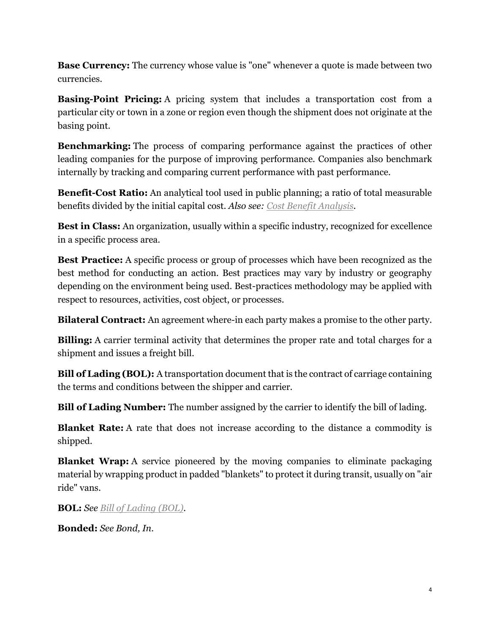**Base Currency:** The currency whose value is "one" whenever a quote is made between two currencies.

**Basing-Point Pricing:** A pricing system that includes a transportation cost from a particular city or town in a zone or region even though the shipment does not originate at the basing point.

**Benchmarking:** The process of comparing performance against the practices of other leading companies for the purpose of improving performance. Companies also benchmark internally by tracking and comparing current performance with past performance.

**Benefit-Cost Ratio:** An analytical tool used in public planning; a ratio of total measurable benefits divided by the initial capital cost. *Also see: [Cost Benefit Analysis.](http://www.inboundlogistics.com/cms/logistics-glossary/#Cost_Benefit_Analysis)*

**Best in Class:** An organization, usually within a specific industry, recognized for excellence in a specific process area.

**Best Practice:** A specific process or group of processes which have been recognized as the best method for conducting an action. Best practices may vary by industry or geography depending on the environment being used. Best-practices methodology may be applied with respect to resources, activities, cost object, or processes.

**Bilateral Contract:** An agreement where-in each party makes a promise to the other party.

**Billing:** A carrier terminal activity that determines the proper rate and total charges for a shipment and issues a freight bill.

**Bill of Lading (BOL):** A transportation document that is the contract of carriage containing the terms and conditions between the shipper and carrier.

**Bill of Lading Number:** The number assigned by the carrier to identify the bill of lading.

**Blanket Rate:** A rate that does not increase according to the distance a commodity is shipped.

**Blanket Wrap:** A service pioneered by the moving companies to eliminate packaging material by wrapping product in padded "blankets" to protect it during transit, usually on "air ride" vans.

**BOL:** *See [Bill of Lading \(BOL\).](http://www.inboundlogistics.com/cms/logistics-glossary/#Bill_of_Lading_(BOL))*

**Bonded:** *See Bond, In.*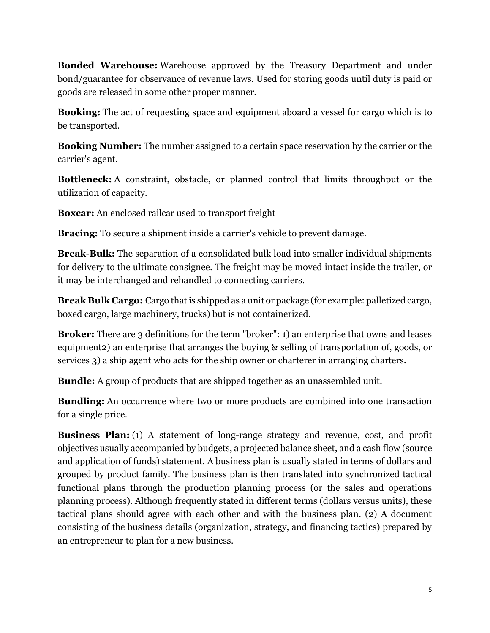**Bonded Warehouse:** Warehouse approved by the Treasury Department and under bond/guarantee for observance of revenue laws. Used for storing goods until duty is paid or goods are released in some other proper manner.

**Booking:** The act of requesting space and equipment aboard a vessel for cargo which is to be transported.

**Booking Number:** The number assigned to a certain space reservation by the carrier or the carrier's agent.

**Bottleneck:** A constraint, obstacle, or planned control that limits throughput or the utilization of capacity.

**Boxcar:** An enclosed railcar used to transport freight

**Bracing:** To secure a shipment inside a carrier's vehicle to prevent damage.

**Break-Bulk:** The separation of a consolidated bulk load into smaller individual shipments for delivery to the ultimate consignee. The freight may be moved intact inside the trailer, or it may be interchanged and rehandled to connecting carriers.

**Break Bulk Cargo:** Cargo that is shipped as a unit or package (for example: palletized cargo, boxed cargo, large machinery, trucks) but is not containerized.

**Broker:** There are 3 definitions for the term "broker": 1) an enterprise that owns and leases equipment2) an enterprise that arranges the buying & selling of transportation of, goods, or services 3) a ship agent who acts for the ship owner or charterer in arranging charters.

**Bundle:** A group of products that are shipped together as an unassembled unit.

**Bundling:** An occurrence where two or more products are combined into one transaction for a single price.

**Business Plan:** (1) A statement of long-range strategy and revenue, cost, and profit objectives usually accompanied by budgets, a projected balance sheet, and a cash flow (source and application of funds) statement. A business plan is usually stated in terms of dollars and grouped by product family. The business plan is then translated into synchronized tactical functional plans through the production planning process (or the sales and operations planning process). Although frequently stated in different terms (dollars versus units), these tactical plans should agree with each other and with the business plan. (2) A document consisting of the business details (organization, strategy, and financing tactics) prepared by an entrepreneur to plan for a new business.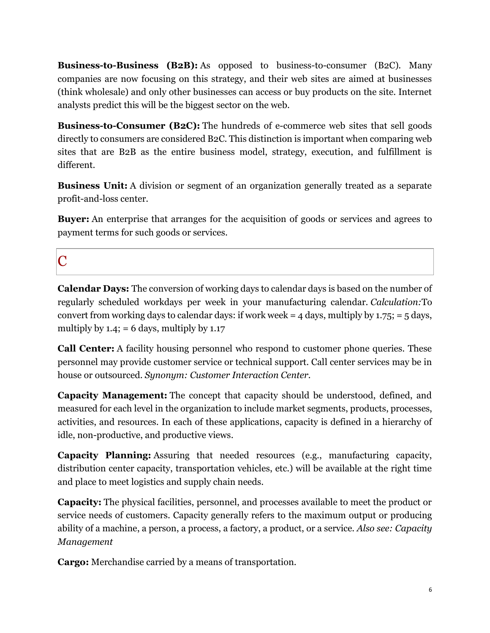**Business-to-Business (B2B):** As opposed to business-to-consumer (B2C). Many companies are now focusing on this strategy, and their web sites are aimed at businesses (think wholesale) and only other businesses can access or buy products on the site. Internet analysts predict this will be the biggest sector on the web.

**Business-to-Consumer (B2C):** The hundreds of e-commerce web sites that sell goods directly to consumers are considered B2C. This distinction is important when comparing web sites that are B2B as the entire business model, strategy, execution, and fulfillment is different.

**Business Unit:** A division or segment of an organization generally treated as a separate profit-and-loss center.

**Buyer:** An enterprise that arranges for the acquisition of goods or services and agrees to payment terms for such goods or services.

C

**Calendar Days:** The conversion of working days to calendar days is based on the number of regularly scheduled workdays per week in your manufacturing calendar. *Calculation:*To convert from working days to calendar days: if work week =  $4$  days, multiply by 1.75; =  $5$  days, multiply by  $1.4$ ; = 6 days, multiply by  $1.17$ 

**Call Center:** A facility housing personnel who respond to customer phone queries. These personnel may provide customer service or technical support. Call center services may be in house or outsourced. *Synonym: Customer Interaction Center.*

**Capacity Management:** The concept that capacity should be understood, defined, and measured for each level in the organization to include market segments, products, processes, activities, and resources. In each of these applications, capacity is defined in a hierarchy of idle, non-productive, and productive views.

**Capacity Planning:** Assuring that needed resources (e.g., manufacturing capacity, distribution center capacity, transportation vehicles, etc.) will be available at the right time and place to meet logistics and supply chain needs.

**Capacity:** The physical facilities, personnel, and processes available to meet the product or service needs of customers. Capacity generally refers to the maximum output or producing ability of a machine, a person, a process, a factory, a product, or a service. *Also see: Capacity Management*

**Cargo:** Merchandise carried by a means of transportation.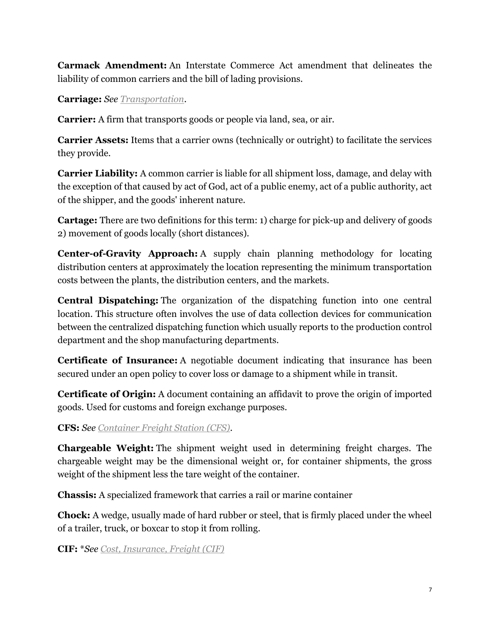**Carmack Amendment:** An Interstate Commerce Act amendment that delineates the liability of common carriers and the bill of lading provisions.

**Carriage:** *See [Transportation.](http://www.inboundlogistics.com/cms/logistics-glossary/#Transportation)*

**Carrier:** A firm that transports goods or people via land, sea, or air.

**Carrier Assets:** Items that a carrier owns (technically or outright) to facilitate the services they provide.

**Carrier Liability:** A common carrier is liable for all shipment loss, damage, and delay with the exception of that caused by act of God, act of a public enemy, act of a public authority, act of the shipper, and the goods' inherent nature.

**Cartage:** There are two definitions for this term: 1) charge for pick-up and delivery of goods 2) movement of goods locally (short distances).

**Center-of-Gravity Approach:** A supply chain planning methodology for locating distribution centers at approximately the location representing the minimum transportation costs between the plants, the distribution centers, and the markets.

**Central Dispatching:** The organization of the dispatching function into one central location. This structure often involves the use of data collection devices for communication between the centralized dispatching function which usually reports to the production control department and the shop manufacturing departments.

**Certificate of Insurance:** A negotiable document indicating that insurance has been secured under an open policy to cover loss or damage to a shipment while in transit.

**Certificate of Origin:** A document containing an affidavit to prove the origin of imported goods. Used for customs and foreign exchange purposes.

**CFS:** *See [Container Freight Station \(CFS\).](http://www.inboundlogistics.com/cms/logistics-glossary/#Container_Freight_Station_(CFS))*

**Chargeable Weight:** The shipment weight used in determining freight charges. The chargeable weight may be the dimensional weight or, for container shipments, the gross weight of the shipment less the tare weight of the container.

**Chassis:** A specialized framework that carries a rail or marine container

**Chock:** A wedge, usually made of hard rubber or steel, that is firmly placed under the wheel of a trailer, truck, or boxcar to stop it from rolling.

**CIF:** \**See [Cost, Insurance, Freight \(CIF\)](http://www.inboundlogistics.com/cms/logistics-glossary/#Cost,_Insurance,_Freight_(CIF))*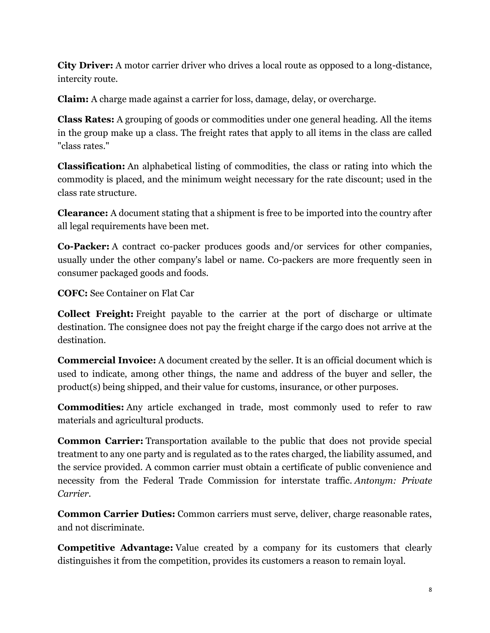**City Driver:** A motor carrier driver who drives a local route as opposed to a long-distance, intercity route.

**Claim:** A charge made against a carrier for loss, damage, delay, or overcharge.

**Class Rates:** A grouping of goods or commodities under one general heading. All the items in the group make up a class. The freight rates that apply to all items in the class are called "class rates."

**Classification:** An alphabetical listing of commodities, the class or rating into which the commodity is placed, and the minimum weight necessary for the rate discount; used in the class rate structure.

**Clearance:** A document stating that a shipment is free to be imported into the country after all legal requirements have been met.

**Co-Packer:** A contract co-packer produces goods and/or services for other companies, usually under the other company's label or name. Co-packers are more frequently seen in consumer packaged goods and foods.

**COFC:** See Container on Flat Car

**Collect Freight:** Freight payable to the carrier at the port of discharge or ultimate destination. The consignee does not pay the freight charge if the cargo does not arrive at the destination.

**Commercial Invoice:** A document created by the seller. It is an official document which is used to indicate, among other things, the name and address of the buyer and seller, the product(s) being shipped, and their value for customs, insurance, or other purposes.

**Commodities:** Any article exchanged in trade, most commonly used to refer to raw materials and agricultural products.

**Common Carrier:** Transportation available to the public that does not provide special treatment to any one party and is regulated as to the rates charged, the liability assumed, and the service provided. A common carrier must obtain a certificate of public convenience and necessity from the Federal Trade Commission for interstate traffic. *Antonym: Private Carrier.*

**Common Carrier Duties:** Common carriers must serve, deliver, charge reasonable rates, and not discriminate.

**Competitive Advantage:** Value created by a company for its customers that clearly distinguishes it from the competition, provides its customers a reason to remain loyal.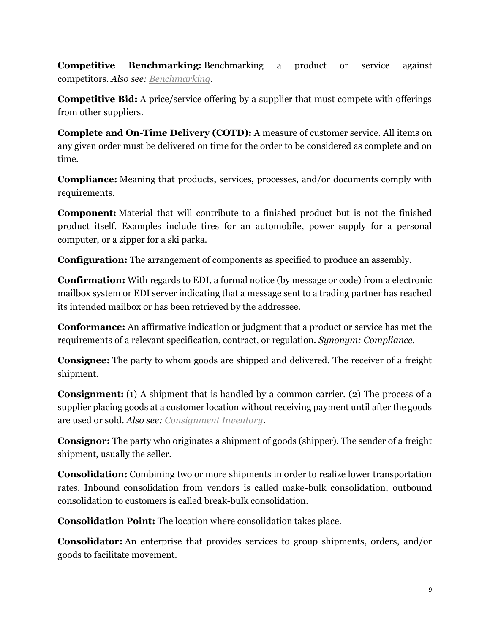**Competitive Benchmarking:** Benchmarking a product or service against competitors. *Also see: [Benchmarking.](http://www.inboundlogistics.com/cms/logistics-glossary/#Benchmarking)*

**Competitive Bid:** A price/service offering by a supplier that must compete with offerings from other suppliers.

**Complete and On-Time Delivery (COTD):** A measure of customer service. All items on any given order must be delivered on time for the order to be considered as complete and on time.

**Compliance:** Meaning that products, services, processes, and/or documents comply with requirements.

**Component:** Material that will contribute to a finished product but is not the finished product itself. Examples include tires for an automobile, power supply for a personal computer, or a zipper for a ski parka.

**Configuration:** The arrangement of components as specified to produce an assembly.

**Confirmation:** With regards to EDI, a formal notice (by message or code) from a electronic mailbox system or EDI server indicating that a message sent to a trading partner has reached its intended mailbox or has been retrieved by the addressee.

**Conformance:** An affirmative indication or judgment that a product or service has met the requirements of a relevant specification, contract, or regulation. *Synonym: Compliance.*

**Consignee:** The party to whom goods are shipped and delivered. The receiver of a freight shipment.

**Consignment:** (1) A shipment that is handled by a common carrier. (2) The process of a supplier placing goods at a customer location without receiving payment until after the goods are used or sold. *Also see: [Consignment Inventory.](http://www.inboundlogistics.com/cms/logistics-glossary/#Consignment_Inventory)*

**Consignor:** The party who originates a shipment of goods (shipper). The sender of a freight shipment, usually the seller.

**Consolidation:** Combining two or more shipments in order to realize lower transportation rates. Inbound consolidation from vendors is called make-bulk consolidation; outbound consolidation to customers is called break-bulk consolidation.

**Consolidation Point:** The location where consolidation takes place.

**Consolidator:** An enterprise that provides services to group shipments, orders, and/or goods to facilitate movement.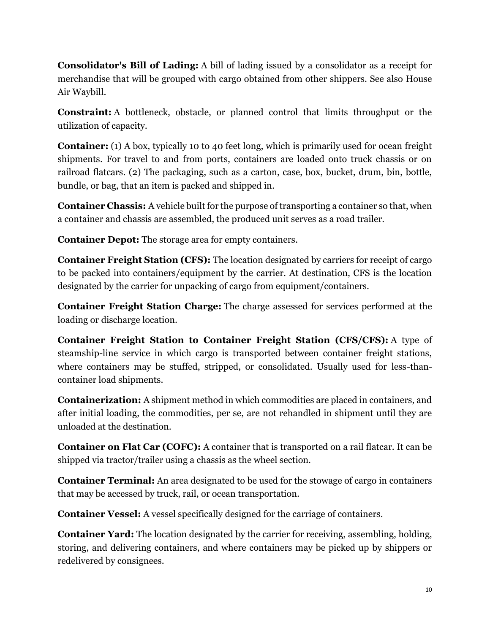**Consolidator's Bill of Lading:** A bill of lading issued by a consolidator as a receipt for merchandise that will be grouped with cargo obtained from other shippers. See also House Air Waybill.

**Constraint:** A bottleneck, obstacle, or planned control that limits throughput or the utilization of capacity.

**Container:** (1) A box, typically 10 to 40 feet long, which is primarily used for ocean freight shipments. For travel to and from ports, containers are loaded onto truck chassis or on railroad flatcars. (2) The packaging, such as a carton, case, box, bucket, drum, bin, bottle, bundle, or bag, that an item is packed and shipped in.

**Container Chassis:** A vehicle built for the purpose of transporting a container so that, when a container and chassis are assembled, the produced unit serves as a road trailer.

**Container Depot:** The storage area for empty containers.

**Container Freight Station (CFS):** The location designated by carriers for receipt of cargo to be packed into containers/equipment by the carrier. At destination, CFS is the location designated by the carrier for unpacking of cargo from equipment/containers.

**Container Freight Station Charge:** The charge assessed for services performed at the loading or discharge location.

**Container Freight Station to Container Freight Station (CFS/CFS):** A type of steamship-line service in which cargo is transported between container freight stations, where containers may be stuffed, stripped, or consolidated. Usually used for less-thancontainer load shipments.

**Containerization:** A shipment method in which commodities are placed in containers, and after initial loading, the commodities, per se, are not rehandled in shipment until they are unloaded at the destination.

**Container on Flat Car (COFC):** A container that is transported on a rail flatcar. It can be shipped via tractor/trailer using a chassis as the wheel section.

**Container Terminal:** An area designated to be used for the stowage of cargo in containers that may be accessed by truck, rail, or ocean transportation.

**Container Vessel:** A vessel specifically designed for the carriage of containers.

**Container Yard:** The location designated by the carrier for receiving, assembling, holding, storing, and delivering containers, and where containers may be picked up by shippers or redelivered by consignees.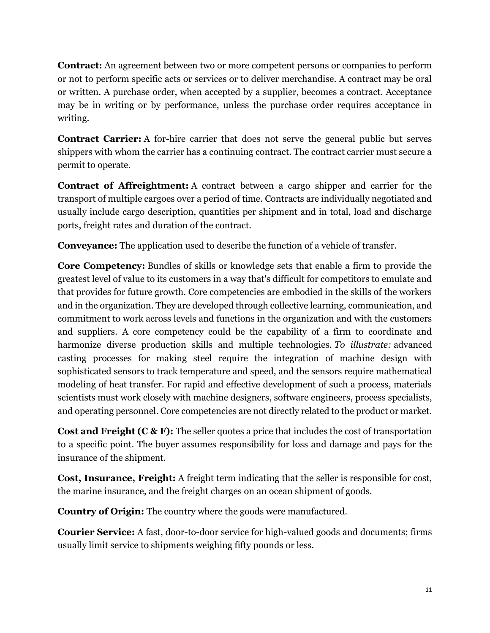**Contract:** An agreement between two or more competent persons or companies to perform or not to perform specific acts or services or to deliver merchandise. A contract may be oral or written. A purchase order, when accepted by a supplier, becomes a contract. Acceptance may be in writing or by performance, unless the purchase order requires acceptance in writing.

**Contract Carrier:** A for-hire carrier that does not serve the general public but serves shippers with whom the carrier has a continuing contract. The contract carrier must secure a permit to operate.

**Contract of Affreightment:** A contract between a cargo shipper and carrier for the transport of multiple cargoes over a period of time. Contracts are individually negotiated and usually include cargo description, quantities per shipment and in total, load and discharge ports, freight rates and duration of the contract.

**Conveyance:** The application used to describe the function of a vehicle of transfer.

**Core Competency:** Bundles of skills or knowledge sets that enable a firm to provide the greatest level of value to its customers in a way that's difficult for competitors to emulate and that provides for future growth. Core competencies are embodied in the skills of the workers and in the organization. They are developed through collective learning, communication, and commitment to work across levels and functions in the organization and with the customers and suppliers. A core competency could be the capability of a firm to coordinate and harmonize diverse production skills and multiple technologies. *To illustrate:* advanced casting processes for making steel require the integration of machine design with sophisticated sensors to track temperature and speed, and the sensors require mathematical modeling of heat transfer. For rapid and effective development of such a process, materials scientists must work closely with machine designers, software engineers, process specialists, and operating personnel. Core competencies are not directly related to the product or market.

**Cost and Freight (C & F):** The seller quotes a price that includes the cost of transportation to a specific point. The buyer assumes responsibility for loss and damage and pays for the insurance of the shipment.

**Cost, Insurance, Freight:** A freight term indicating that the seller is responsible for cost, the marine insurance, and the freight charges on an ocean shipment of goods.

**Country of Origin:** The country where the goods were manufactured.

**Courier Service:** A fast, door-to-door service for high-valued goods and documents; firms usually limit service to shipments weighing fifty pounds or less.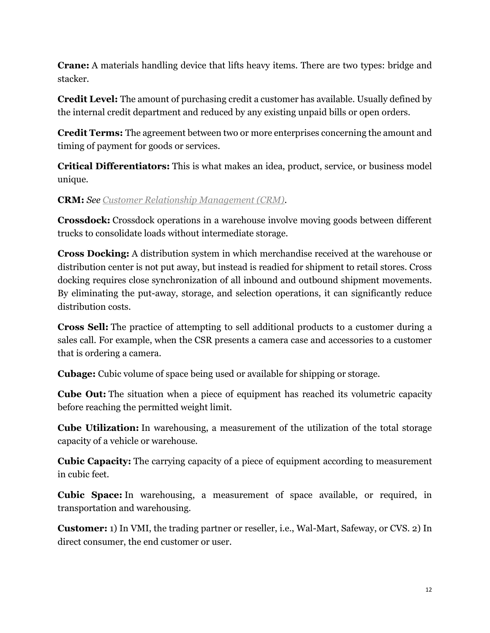**Crane:** A materials handling device that lifts heavy items. There are two types: bridge and stacker.

**Credit Level:** The amount of purchasing credit a customer has available. Usually defined by the internal credit department and reduced by any existing unpaid bills or open orders.

**Credit Terms:** The agreement between two or more enterprises concerning the amount and timing of payment for goods or services.

**Critical Differentiators:** This is what makes an idea, product, service, or business model unique.

**CRM:** *See [Customer Relationship Management \(CRM\).](http://www.inboundlogistics.com/cms/logistics-glossary/#Customer_Relationship_Management_(CRM))*

**Crossdock:** Crossdock operations in a warehouse involve moving goods between different trucks to consolidate loads without intermediate storage.

**Cross Docking:** A distribution system in which merchandise received at the warehouse or distribution center is not put away, but instead is readied for shipment to retail stores. Cross docking requires close synchronization of all inbound and outbound shipment movements. By eliminating the put-away, storage, and selection operations, it can significantly reduce distribution costs.

**Cross Sell:** The practice of attempting to sell additional products to a customer during a sales call. For example, when the CSR presents a camera case and accessories to a customer that is ordering a camera.

**Cubage:** Cubic volume of space being used or available for shipping or storage.

**Cube Out:** The situation when a piece of equipment has reached its volumetric capacity before reaching the permitted weight limit.

**Cube Utilization:** In warehousing, a measurement of the utilization of the total storage capacity of a vehicle or warehouse.

**Cubic Capacity:** The carrying capacity of a piece of equipment according to measurement in cubic feet.

**Cubic Space:** In warehousing, a measurement of space available, or required, in transportation and warehousing.

**Customer:** 1) In VMI, the trading partner or reseller, i.e., Wal-Mart, Safeway, or CVS. 2) In direct consumer, the end customer or user.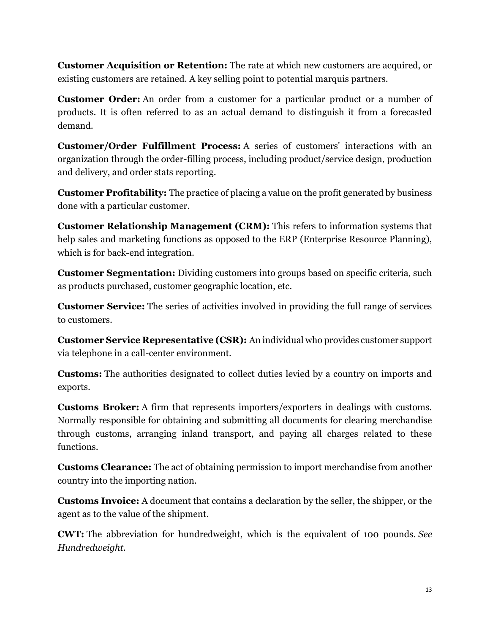**Customer Acquisition or Retention:** The rate at which new customers are acquired, or existing customers are retained. A key selling point to potential marquis partners.

**Customer Order:** An order from a customer for a particular product or a number of products. It is often referred to as an actual demand to distinguish it from a forecasted demand.

**Customer/Order Fulfillment Process:** A series of customers' interactions with an organization through the order-filling process, including product/service design, production and delivery, and order stats reporting.

**Customer Profitability:** The practice of placing a value on the profit generated by business done with a particular customer.

**Customer Relationship Management (CRM):** This refers to information systems that help sales and marketing functions as opposed to the ERP (Enterprise Resource Planning), which is for back-end integration.

**Customer Segmentation:** Dividing customers into groups based on specific criteria, such as products purchased, customer geographic location, etc.

**Customer Service:** The series of activities involved in providing the full range of services to customers.

**Customer Service Representative (CSR):** An individual who provides customer support via telephone in a call-center environment.

**Customs:** The authorities designated to collect duties levied by a country on imports and exports.

**Customs Broker:** A firm that represents importers/exporters in dealings with customs. Normally responsible for obtaining and submitting all documents for clearing merchandise through customs, arranging inland transport, and paying all charges related to these functions.

**Customs Clearance:** The act of obtaining permission to import merchandise from another country into the importing nation.

**Customs Invoice:** A document that contains a declaration by the seller, the shipper, or the agent as to the value of the shipment.

**CWT:** The abbreviation for hundredweight, which is the equivalent of 100 pounds. *See Hundredweight.*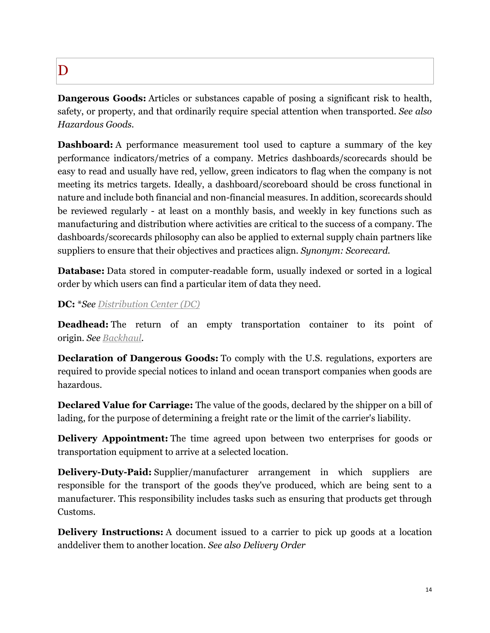# D

**Dangerous Goods:** Articles or substances capable of posing a significant risk to health, safety, or property, and that ordinarily require special attention when transported. *See also Hazardous Goods*.

**Dashboard:** A performance measurement tool used to capture a summary of the key performance indicators/metrics of a company. Metrics dashboards/scorecards should be easy to read and usually have red, yellow, green indicators to flag when the company is not meeting its metrics targets. Ideally, a dashboard/scoreboard should be cross functional in nature and include both financial and non-financial measures. In addition, scorecards should be reviewed regularly - at least on a monthly basis, and weekly in key functions such as manufacturing and distribution where activities are critical to the success of a company. The dashboards/scorecards philosophy can also be applied to external supply chain partners like suppliers to ensure that their objectives and practices align. *Synonym: Scorecard.*

**Database:** Data stored in computer-readable form, usually indexed or sorted in a logical order by which users can find a particular item of data they need.

**DC:** \**See [Distribution Center \(DC\)](http://www.inboundlogistics.com/cms/logistics-glossary/#Distribution_Center_(DC))*

**Deadhead:** The return of an empty transportation container to its point of origin. *See [Backhaul.](http://www.inboundlogistics.com/cms/logistics-glossary/#Backhaul)*

**Declaration of Dangerous Goods:** To comply with the U.S. regulations, exporters are required to provide special notices to inland and ocean transport companies when goods are hazardous.

**Declared Value for Carriage:** The value of the goods, declared by the shipper on a bill of lading, for the purpose of determining a freight rate or the limit of the carrier's liability.

**Delivery Appointment:** The time agreed upon between two enterprises for goods or transportation equipment to arrive at a selected location.

**Delivery-Duty-Paid:** Supplier/manufacturer arrangement in which suppliers are responsible for the transport of the goods they've produced, which are being sent to a manufacturer. This responsibility includes tasks such as ensuring that products get through Customs.

**Delivery Instructions:** A document issued to a carrier to pick up goods at a location anddeliver them to another location. *See also Delivery Order*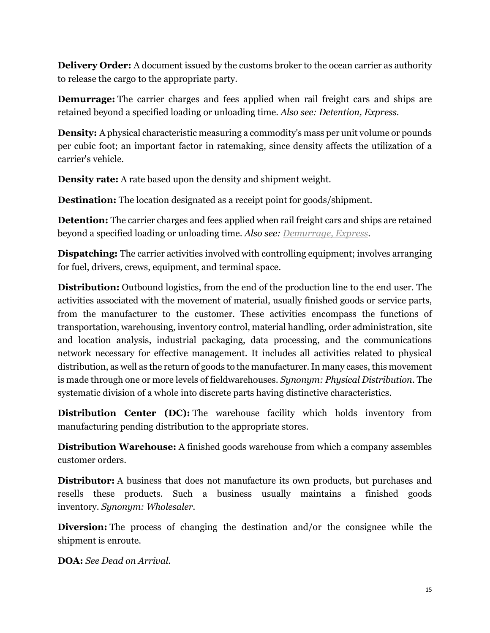**Delivery Order:** A document issued by the customs broker to the ocean carrier as authority to release the cargo to the appropriate party.

**Demurrage:** The carrier charges and fees applied when rail freight cars and ships are retained beyond a specified loading or unloading time. *Also see: Detention, Express.*

**Density:** A physical characteristic measuring a commodity's mass per unit volume or pounds per cubic foot; an important factor in ratemaking, since density affects the utilization of a carrier's vehicle.

**Density rate:** A rate based upon the density and shipment weight.

**Destination:** The location designated as a receipt point for goods/shipment.

**Detention:** The carrier charges and fees applied when rail freight cars and ships are retained beyond a specified loading or unloading time. *Also see: [Demurrage, Express](http://www.inboundlogistics.com/cms/logistics-glossary/#Demurrage,_Express)*.

**Dispatching:** The carrier activities involved with controlling equipment; involves arranging for fuel, drivers, crews, equipment, and terminal space.

**Distribution:** Outbound logistics, from the end of the production line to the end user. The activities associated with the movement of material, usually finished goods or service parts, from the manufacturer to the customer. These activities encompass the functions of transportation, warehousing, inventory control, material handling, order administration, site and location analysis, industrial packaging, data processing, and the communications network necessary for effective management. It includes all activities related to physical distribution, as well as the return of goods to the manufacturer. In many cases, this movement is made through one or more levels of fieldwarehouses. *Synonym: Physical Distribution*. The systematic division of a whole into discrete parts having distinctive characteristics.

**Distribution Center (DC):** The warehouse facility which holds inventory from manufacturing pending distribution to the appropriate stores.

**Distribution Warehouse:** A finished goods warehouse from which a company assembles customer orders.

**Distributor:** A business that does not manufacture its own products, but purchases and resells these products. Such a business usually maintains a finished goods inventory. *Synonym: Wholesaler.*

**Diversion:** The process of changing the destination and/or the consignee while the shipment is enroute.

**DOA:** *See Dead on Arrival.*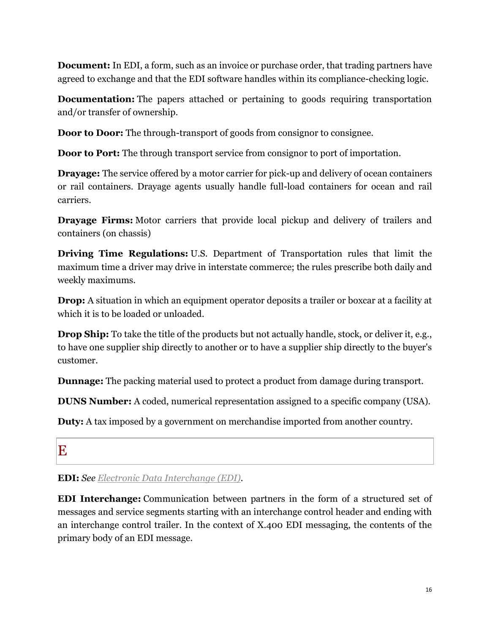**Document:** In EDI, a form, such as an invoice or purchase order, that trading partners have agreed to exchange and that the EDI software handles within its compliance-checking logic.

**Documentation:** The papers attached or pertaining to goods requiring transportation and/or transfer of ownership.

**Door to Door:** The through-transport of goods from consignor to consignee.

**Door to Port:** The through transport service from consignor to port of importation.

**Drayage:** The service offered by a motor carrier for pick-up and delivery of ocean containers or rail containers. Drayage agents usually handle full-load containers for ocean and rail carriers.

**Drayage Firms:** Motor carriers that provide local pickup and delivery of trailers and containers (on chassis)

**Driving Time Regulations:** U.S. Department of Transportation rules that limit the maximum time a driver may drive in interstate commerce; the rules prescribe both daily and weekly maximums.

**Drop:** A situation in which an equipment operator deposits a trailer or boxcar at a facility at which it is to be loaded or unloaded.

**Drop Ship:** To take the title of the products but not actually handle, stock, or deliver it, e.g., to have one supplier ship directly to another or to have a supplier ship directly to the buyer's customer.

**Dunnage:** The packing material used to protect a product from damage during transport.

**DUNS Number:** A coded, numerical representation assigned to a specific company (USA).

**Duty:** A tax imposed by a government on merchandise imported from another country.

## E

**EDI:** *See [Electronic Data Interchange \(EDI\).](http://www.inboundlogistics.com/cms/logistics-glossary/#Electronic_Data_Interchange_(EDI))*

**EDI Interchange:** Communication between partners in the form of a structured set of messages and service segments starting with an interchange control header and ending with an interchange control trailer. In the context of X.400 EDI messaging, the contents of the primary body of an EDI message.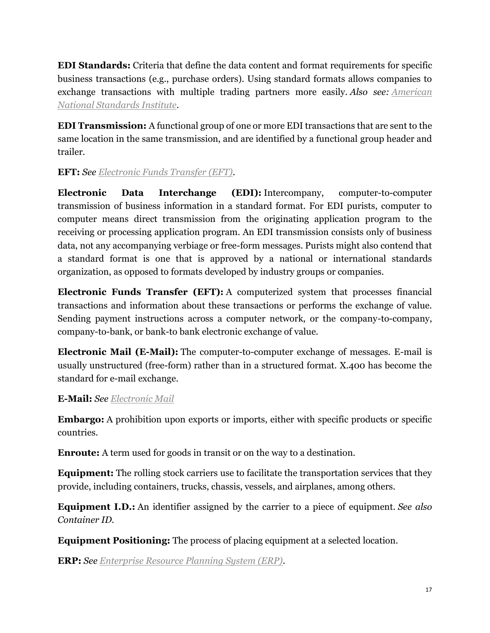**EDI Standards:** Criteria that define the data content and format requirements for specific business transactions (e.g., purchase orders). Using standard formats allows companies to exchange transactions with multiple trading partners more easily. *Also see: [American](http://www.inboundlogistics.com/cms/logistics-glossary/#American_National_Standards_Institute)  [National Standards Institute.](http://www.inboundlogistics.com/cms/logistics-glossary/#American_National_Standards_Institute)*

**EDI Transmission:** A functional group of one or more EDI transactions that are sent to the same location in the same transmission, and are identified by a functional group header and trailer.

#### **EFT:** *See [Electronic Funds Transfer \(EFT\).](http://www.inboundlogistics.com/cms/logistics-glossary/#Electronic_Funds_Transfer_(EFT))*

**Electronic Data Interchange (EDI):** Intercompany, computer-to-computer transmission of business information in a standard format. For EDI purists, computer to computer means direct transmission from the originating application program to the receiving or processing application program. An EDI transmission consists only of business data, not any accompanying verbiage or free-form messages. Purists might also contend that a standard format is one that is approved by a national or international standards organization, as opposed to formats developed by industry groups or companies.

**Electronic Funds Transfer (EFT):** A computerized system that processes financial transactions and information about these transactions or performs the exchange of value. Sending payment instructions across a computer network, or the company-to-company, company-to-bank, or bank-to bank electronic exchange of value.

**Electronic Mail (E-Mail):** The computer-to-computer exchange of messages. E-mail is usually unstructured (free-form) rather than in a structured format. X.400 has become the standard for e-mail exchange.

#### **E-Mail:** *See [Electronic Mail](http://www.inboundlogistics.com/cms/logistics-glossary/#Electronic_Mail)*

**Embargo:** A prohibition upon exports or imports, either with specific products or specific countries.

**Enroute:** A term used for goods in transit or on the way to a destination.

**Equipment:** The rolling stock carriers use to facilitate the transportation services that they provide, including containers, trucks, chassis, vessels, and airplanes, among others.

**Equipment I.D.:** An identifier assigned by the carrier to a piece of equipment. *See also Container ID.*

**Equipment Positioning:** The process of placing equipment at a selected location.

**ERP:** *See [Enterprise Resource Planning System \(ERP\).](http://www.inboundlogistics.com/cms/logistics-glossary/#Enterprise_Resource_Planning_System_(ERP))*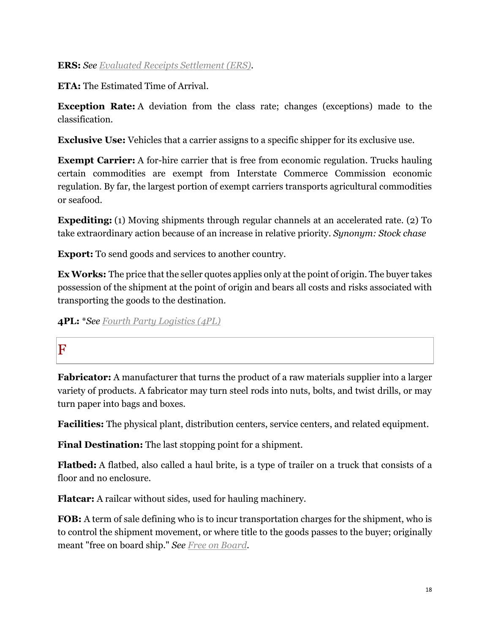#### **ERS:** *See [Evaluated Receipts Settlement \(ERS\).](http://www.inboundlogistics.com/cms/logistics-glossary/#Evaluated_Receipts_Settlement_(ERS))*

**ETA:** The Estimated Time of Arrival.

**Exception Rate:** A deviation from the class rate; changes (exceptions) made to the classification.

**Exclusive Use:** Vehicles that a carrier assigns to a specific shipper for its exclusive use.

**Exempt Carrier:** A for-hire carrier that is free from economic regulation. Trucks hauling certain commodities are exempt from Interstate Commerce Commission economic regulation. By far, the largest portion of exempt carriers transports agricultural commodities or seafood.

**Expediting:** (1) Moving shipments through regular channels at an accelerated rate. (2) To take extraordinary action because of an increase in relative priority. *Synonym: Stock chase*

**Export:** To send goods and services to another country.

**Ex Works:** The price that the seller quotes applies only at the point of origin. The buyer takes possession of the shipment at the point of origin and bears all costs and risks associated with transporting the goods to the destination.

**4PL:** \**See [Fourth Party Logistics \(4PL\)](http://www.inboundlogistics.com/cms/logistics-glossary/#Fourth_Party_Logistics_(4PL))*

## F

**Fabricator:** A manufacturer that turns the product of a raw materials supplier into a larger variety of products. A fabricator may turn steel rods into nuts, bolts, and twist drills, or may turn paper into bags and boxes.

**Facilities:** The physical plant, distribution centers, service centers, and related equipment.

**Final Destination:** The last stopping point for a shipment.

**Flatbed:** A flatbed, also called a haul brite, is a type of trailer on a truck that consists of a floor and no enclosure.

**Flatcar:** A railcar without sides, used for hauling machinery.

**FOB:** A term of sale defining who is to incur transportation charges for the shipment, who is to control the shipment movement, or where title to the goods passes to the buyer; originally meant "free on board ship." *See [Free on Board.](http://www.inboundlogistics.com/cms/logistics-glossary/#Free_on_Board)*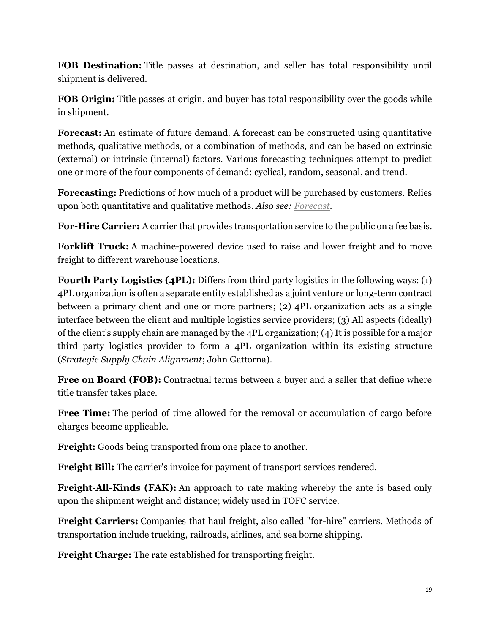**FOB Destination:** Title passes at destination, and seller has total responsibility until shipment is delivered.

**FOB Origin:** Title passes at origin, and buyer has total responsibility over the goods while in shipment.

**Forecast:** An estimate of future demand. A forecast can be constructed using quantitative methods, qualitative methods, or a combination of methods, and can be based on extrinsic (external) or intrinsic (internal) factors. Various forecasting techniques attempt to predict one or more of the four components of demand: cyclical, random, seasonal, and trend.

**Forecasting:** Predictions of how much of a product will be purchased by customers. Relies upon both quantitative and qualitative methods. *Also see: [Forecast.](http://www.inboundlogistics.com/cms/logistics-glossary/#Forecast)*

**For-Hire Carrier:** A carrier that provides transportation service to the public on a fee basis.

**Forklift Truck:** A machine-powered device used to raise and lower freight and to move freight to different warehouse locations.

**Fourth Party Logistics (4PL):** Differs from third party logistics in the following ways: (1) 4PL organization is often a separate entity established as a joint venture or long-term contract between a primary client and one or more partners; (2) 4PL organization acts as a single interface between the client and multiple logistics service providers; (3) All aspects (ideally) of the client's supply chain are managed by the 4PL organization; (4) It is possible for a major third party logistics provider to form a 4PL organization within its existing structure (*Strategic Supply Chain Alignment*; John Gattorna).

**Free on Board (FOB):** Contractual terms between a buyer and a seller that define where title transfer takes place.

**Free Time:** The period of time allowed for the removal or accumulation of cargo before charges become applicable.

**Freight:** Goods being transported from one place to another.

**Freight Bill:** The carrier's invoice for payment of transport services rendered.

**Freight-All-Kinds (FAK):** An approach to rate making whereby the ante is based only upon the shipment weight and distance; widely used in TOFC service.

**Freight Carriers:** Companies that haul freight, also called "for-hire" carriers. Methods of transportation include trucking, railroads, airlines, and sea borne shipping.

**Freight Charge:** The rate established for transporting freight.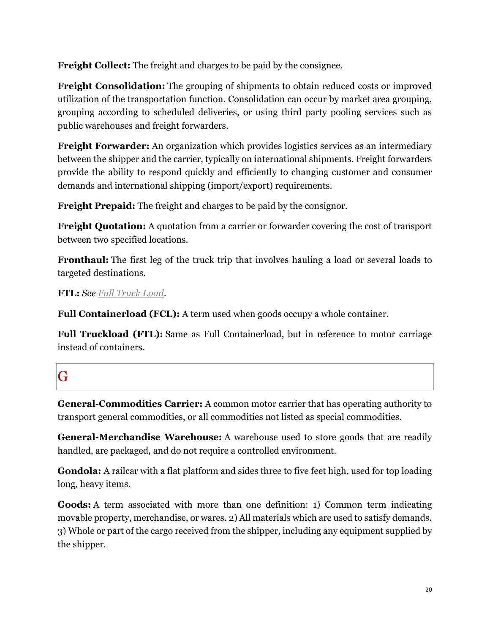**Freight Collect:** The freight and charges to be paid by the consignee.

**Freight Consolidation:** The grouping of shipments to obtain reduced costs or improved utilization of the transportation function. Consolidation can occur by market area grouping, grouping according to scheduled deliveries, or using third party pooling services such as public warehouses and freight forwarders.

**Freight Forwarder:** An organization which provides logistics services as an intermediary between the shipper and the carrier, typically on international shipments. Freight forwarders provide the ability to respond quickly and efficiently to changing customer and consumer demands and international shipping (import/export) requirements.

**Freight Prepaid:** The freight and charges to be paid by the consignor.

**Freight Quotation:** A quotation from a carrier or forwarder covering the cost of transport between two specified locations.

**Fronthaul:** The first leg of the truck trip that involves hauling a load or several loads to targeted destinations.

**FTL:** *See [Full Truck Load.](http://www.inboundlogistics.com/cms/logistics-glossary/#Full_Truck_Load)*

**Full Containerload (FCL):** A term used when goods occupy a whole container.

**Full Truckload (FTL):** Same as Full Containerload, but in reference to motor carriage instead of containers.

### G

**General-Commodities Carrier:** A common motor carrier that has operating authority to transport general commodities, or all commodities not listed as special commodities.

**General-Merchandise Warehouse:** A warehouse used to store goods that are readily handled, are packaged, and do not require a controlled environment.

**Gondola:** A railcar with a flat platform and sides three to five feet high, used for top loading long, heavy items.

**Goods:** A term associated with more than one definition: 1) Common term indicating movable property, merchandise, or wares. 2) All materials which are used to satisfy demands. 3) Whole or part of the cargo received from the shipper, including any equipment supplied by the shipper.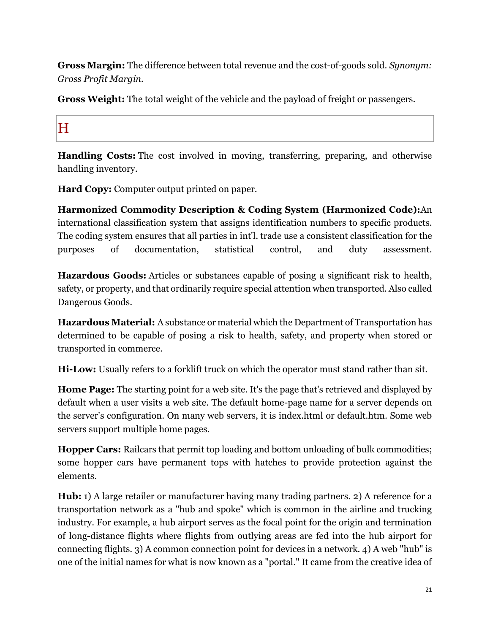**Gross Margin:** The difference between total revenue and the cost-of-goods sold. *Synonym: Gross Profit Margin.*

**Gross Weight:** The total weight of the vehicle and the payload of freight or passengers.

## $H$

**Handling Costs:** The cost involved in moving, transferring, preparing, and otherwise handling inventory.

**Hard Copy:** Computer output printed on paper.

**Harmonized Commodity Description & Coding System (Harmonized Code):**An international classification system that assigns identification numbers to specific products. The coding system ensures that all parties in int'l. trade use a consistent classification for the purposes of documentation, statistical control, and duty assessment.

**Hazardous Goods:** Articles or substances capable of posing a significant risk to health, safety, or property, and that ordinarily require special attention when transported. Also called Dangerous Goods.

**Hazardous Material:** A substance or material which the Department of Transportation has determined to be capable of posing a risk to health, safety, and property when stored or transported in commerce.

**Hi-Low:** Usually refers to a forklift truck on which the operator must stand rather than sit.

**Home Page:** The starting point for a web site. It's the page that's retrieved and displayed by default when a user visits a web site. The default home-page name for a server depends on the server's configuration. On many web servers, it is index.html or default.htm. Some web servers support multiple home pages.

**Hopper Cars:** Railcars that permit top loading and bottom unloading of bulk commodities; some hopper cars have permanent tops with hatches to provide protection against the elements.

**Hub:** 1) A large retailer or manufacturer having many trading partners. 2) A reference for a transportation network as a "hub and spoke" which is common in the airline and trucking industry. For example, a hub airport serves as the focal point for the origin and termination of long-distance flights where flights from outlying areas are fed into the hub airport for connecting flights. 3) A common connection point for devices in a network. 4) A web "hub" is one of the initial names for what is now known as a "portal." It came from the creative idea of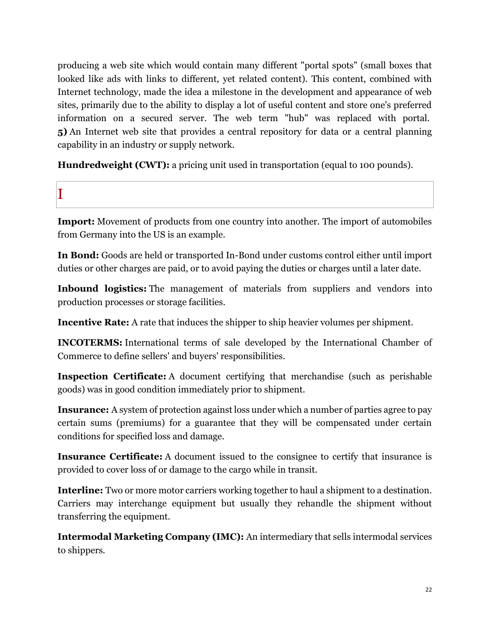producing a web site which would contain many different "portal spots" (small boxes that looked like ads with links to different, yet related content). This content, combined with Internet technology, made the idea a milestone in the development and appearance of web sites, primarily due to the ability to display a lot of useful content and store one's preferred information on a secured server. The web term "hub" was replaced with portal. **5)** An Internet web site that provides a central repository for data or a central planning capability in an industry or supply network.

**Hundredweight (CWT):** a pricing unit used in transportation (equal to 100 pounds).

# I

**Import:** Movement of products from one country into another. The import of automobiles from Germany into the US is an example.

**In Bond:** Goods are held or transported In-Bond under customs control either until import duties or other charges are paid, or to avoid paying the duties or charges until a later date.

**Inbound logistics:** The management of materials from suppliers and vendors into production processes or storage facilities.

**Incentive Rate:** A rate that induces the shipper to ship heavier volumes per shipment.

**INCOTERMS:** International terms of sale developed by the International Chamber of Commerce to define sellers' and buyers' responsibilities.

**Inspection Certificate:** A document certifying that merchandise (such as perishable goods) was in good condition immediately prior to shipment.

**Insurance:** A system of protection against loss under which a number of parties agree to pay certain sums (premiums) for a guarantee that they will be compensated under certain conditions for specified loss and damage.

**Insurance Certificate:** A document issued to the consignee to certify that insurance is provided to cover loss of or damage to the cargo while in transit.

**Interline:** Two or more motor carriers working together to haul a shipment to a destination. Carriers may interchange equipment but usually they rehandle the shipment without transferring the equipment.

**Intermodal Marketing Company (IMC):** An intermediary that sells intermodal services to shippers.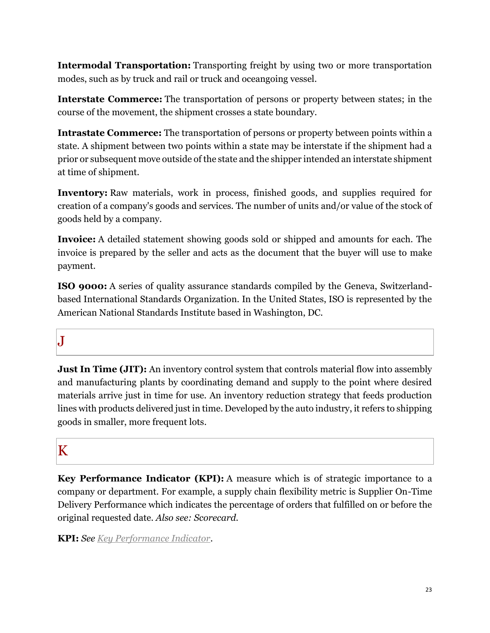**Intermodal Transportation:** Transporting freight by using two or more transportation modes, such as by truck and rail or truck and oceangoing vessel.

**Interstate Commerce:** The transportation of persons or property between states; in the course of the movement, the shipment crosses a state boundary.

**Intrastate Commerce:** The transportation of persons or property between points within a state. A shipment between two points within a state may be interstate if the shipment had a prior or subsequent move outside of the state and the shipper intended an interstate shipment at time of shipment.

**Inventory:** Raw materials, work in process, finished goods, and supplies required for creation of a company's goods and services. The number of units and/or value of the stock of goods held by a company.

**Invoice:** A detailed statement showing goods sold or shipped and amounts for each. The invoice is prepared by the seller and acts as the document that the buyer will use to make payment.

**ISO 9000:** A series of quality assurance standards compiled by the Geneva, Switzerlandbased International Standards Organization. In the United States, ISO is represented by the American National Standards Institute based in Washington, DC.

## $\bf J$

**Just In Time (JIT):** An inventory control system that controls material flow into assembly and manufacturing plants by coordinating demand and supply to the point where desired materials arrive just in time for use. An inventory reduction strategy that feeds production lines with products delivered just in time. Developed by the auto industry, it refers to shipping goods in smaller, more frequent lots.

## K

**Key Performance Indicator (KPI):** A measure which is of strategic importance to a company or department. For example, a supply chain flexibility metric is Supplier On-Time Delivery Performance which indicates the percentage of orders that fulfilled on or before the original requested date. *Also see: Scorecard.*

**KPI:** *See [Key Performance Indicator](http://www.inboundlogistics.com/cms/logistics-glossary/#Key_Performance_Indicator)*.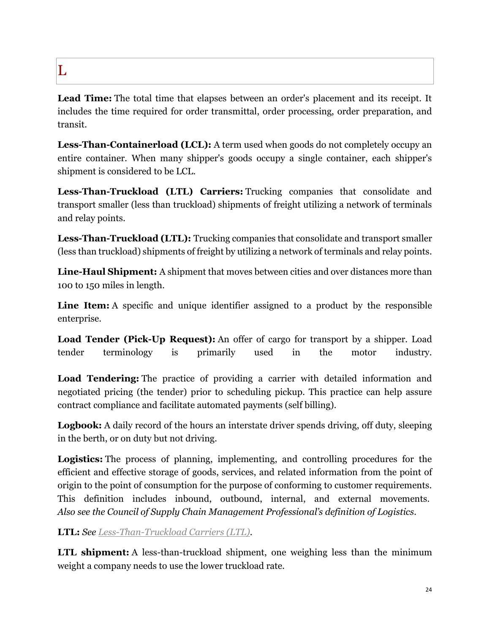# L

**Lead Time:** The total time that elapses between an order's placement and its receipt. It includes the time required for order transmittal, order processing, order preparation, and transit.

**Less-Than-Containerload (LCL):** A term used when goods do not completely occupy an entire container. When many shipper's goods occupy a single container, each shipper's shipment is considered to be LCL.

**Less-Than-Truckload (LTL) Carriers:** Trucking companies that consolidate and transport smaller (less than truckload) shipments of freight utilizing a network of terminals and relay points.

**Less-Than-Truckload (LTL):** Trucking companies that consolidate and transport smaller (less than truckload) shipments of freight by utilizing a network of terminals and relay points.

**Line-Haul Shipment:** A shipment that moves between cities and over distances more than 100 to 150 miles in length.

**Line Item:** A specific and unique identifier assigned to a product by the responsible enterprise.

**Load Tender (Pick-Up Request):** An offer of cargo for transport by a shipper. Load tender terminology is primarily used in the motor industry.

**Load Tendering:** The practice of providing a carrier with detailed information and negotiated pricing (the tender) prior to scheduling pickup. This practice can help assure contract compliance and facilitate automated payments (self billing).

**Logbook:** A daily record of the hours an interstate driver spends driving, off duty, sleeping in the berth, or on duty but not driving.

**Logistics:** The process of planning, implementing, and controlling procedures for the efficient and effective storage of goods, services, and related information from the point of origin to the point of consumption for the purpose of conforming to customer requirements. This definition includes inbound, outbound, internal, and external movements. *Also see the Council of Supply Chain Management Professional's definition of Logistics*.

**LTL:** *See [Less-Than-Truckload Carriers \(LTL\).](http://www.inboundlogistics.com/cms/logistics-glossary/#Less-Than-Truckload_Carriers_(LTL))*

**LTL shipment:** A less-than-truckload shipment, one weighing less than the minimum weight a company needs to use the lower truckload rate.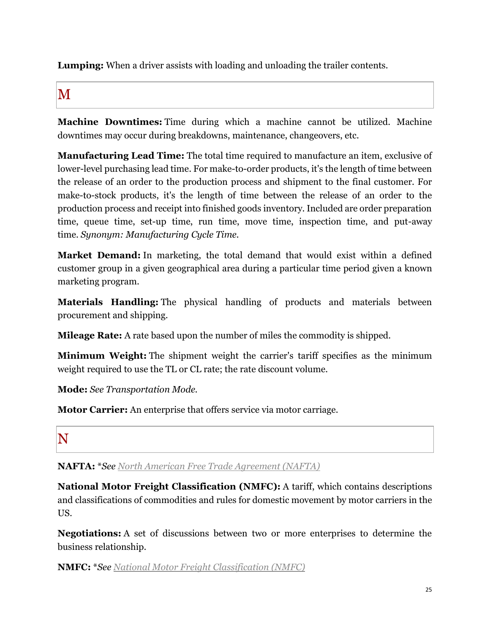**Lumping:** When a driver assists with loading and unloading the trailer contents.

## M

**Machine Downtimes:** Time during which a machine cannot be utilized. Machine downtimes may occur during breakdowns, maintenance, changeovers, etc.

**Manufacturing Lead Time:** The total time required to manufacture an item, exclusive of lower-level purchasing lead time. For make-to-order products, it's the length of time between the release of an order to the production process and shipment to the final customer. For make-to-stock products, it's the length of time between the release of an order to the production process and receipt into finished goods inventory. Included are order preparation time, queue time, set-up time, run time, move time, inspection time, and put-away time. *Synonym: Manufacturing Cycle Time.*

**Market Demand:** In marketing, the total demand that would exist within a defined customer group in a given geographical area during a particular time period given a known marketing program.

**Materials Handling:** The physical handling of products and materials between procurement and shipping.

**Mileage Rate:** A rate based upon the number of miles the commodity is shipped.

**Minimum Weight:** The shipment weight the carrier's tariff specifies as the minimum weight required to use the TL or CL rate; the rate discount volume.

**Mode:** *See Transportation Mode.*

**Motor Carrier:** An enterprise that offers service via motor carriage.

## N

**NAFTA:** \**See [North American Free Trade Agreement \(NAFTA\)](http://www.inboundlogistics.com/cms/logistics-glossary/#North_American_Free_Trade_Agreement_(NAFTA))*

**National Motor Freight Classification (NMFC):** A tariff, which contains descriptions and classifications of commodities and rules for domestic movement by motor carriers in the US.

**Negotiations:** A set of discussions between two or more enterprises to determine the business relationship.

**NMFC:** \**See [National Motor Freight Classification \(NMFC\)](http://www.inboundlogistics.com/cms/logistics-glossary/#National_Motor_Freight_Classification_(NMFC))*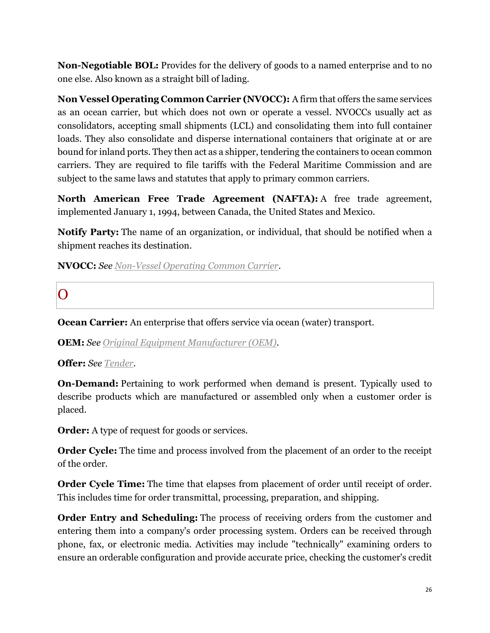**Non-Negotiable BOL:** Provides for the delivery of goods to a named enterprise and to no one else. Also known as a straight bill of lading.

**Non Vessel Operating Common Carrier (NVOCC):** A firm that offers the same services as an ocean carrier, but which does not own or operate a vessel. NVOCCs usually act as consolidators, accepting small shipments (LCL) and consolidating them into full container loads. They also consolidate and disperse international containers that originate at or are bound for inland ports. They then act as a shipper, tendering the containers to ocean common carriers. They are required to file tariffs with the Federal Maritime Commission and are subject to the same laws and statutes that apply to primary common carriers.

**North American Free Trade Agreement (NAFTA):** A free trade agreement, implemented January 1, 1994, between Canada, the United States and Mexico.

**Notify Party:** The name of an organization, or individual, that should be notified when a shipment reaches its destination.

**NVOCC:** *See [Non-Vessel Operating Common Carrier.](http://www.inboundlogistics.com/cms/logistics-glossary/#Non-Vessel_Operating_Common_Carrier)*

O

**Ocean Carrier:** An enterprise that offers service via ocean (water) transport.

**OEM:** *See [Original Equipment Manufacturer \(OEM\).](http://www.inboundlogistics.com/cms/logistics-glossary/#Original_Equipment_Manufacturer_(OEM))*

**Offer:** *See [Tender.](http://www.inboundlogistics.com/cms/logistics-glossary/#Tender)*

**On-Demand:** Pertaining to work performed when demand is present. Typically used to describe products which are manufactured or assembled only when a customer order is placed.

**Order:** A type of request for goods or services.

**Order Cycle:** The time and process involved from the placement of an order to the receipt of the order.

**Order Cycle Time:** The time that elapses from placement of order until receipt of order. This includes time for order transmittal, processing, preparation, and shipping.

**Order Entry and Scheduling:** The process of receiving orders from the customer and entering them into a company's order processing system. Orders can be received through phone, fax, or electronic media. Activities may include "technically" examining orders to ensure an orderable configuration and provide accurate price, checking the customer's credit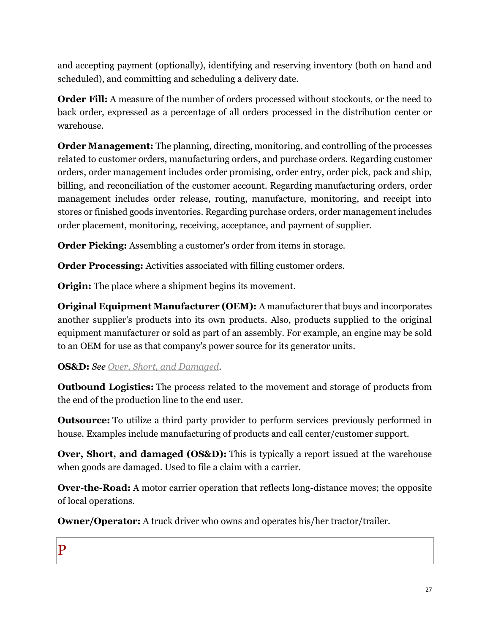and accepting payment (optionally), identifying and reserving inventory (both on hand and scheduled), and committing and scheduling a delivery date.

**Order Fill:** A measure of the number of orders processed without stockouts, or the need to back order, expressed as a percentage of all orders processed in the distribution center or warehouse.

**Order Management:** The planning, directing, monitoring, and controlling of the processes related to customer orders, manufacturing orders, and purchase orders. Regarding customer orders, order management includes order promising, order entry, order pick, pack and ship, billing, and reconciliation of the customer account. Regarding manufacturing orders, order management includes order release, routing, manufacture, monitoring, and receipt into stores or finished goods inventories. Regarding purchase orders, order management includes order placement, monitoring, receiving, acceptance, and payment of supplier.

**Order Picking:** Assembling a customer's order from items in storage.

**Order Processing:** Activities associated with filling customer orders.

**Origin:** The place where a shipment begins its movement.

**Original Equipment Manufacturer (OEM):** A manufacturer that buys and incorporates another supplier's products into its own products. Also, products supplied to the original equipment manufacturer or sold as part of an assembly. For example, an engine may be sold to an OEM for use as that company's power source for its generator units.

### **OS&D:** *See [Over, Short, and Damaged.](http://www.inboundlogistics.com/cms/logistics-glossary/#Over,_Short,_and_Damaged)*

**Outbound Logistics:** The process related to the movement and storage of products from the end of the production line to the end user.

**Outsource:** To utilize a third party provider to perform services previously performed in house. Examples include manufacturing of products and call center/customer support.

**Over, Short, and damaged (OS&D):** This is typically a report issued at the warehouse when goods are damaged. Used to file a claim with a carrier.

**Over-the-Road:** A motor carrier operation that reflects long-distance moves; the opposite of local operations.

**Owner/Operator:** A truck driver who owns and operates his/her tractor/trailer.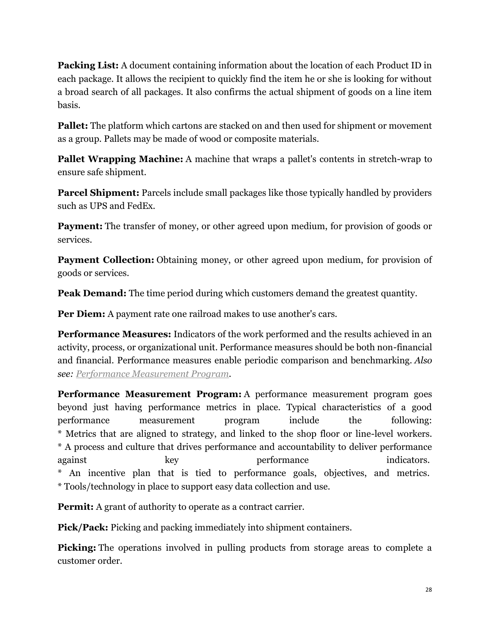**Packing List:** A document containing information about the location of each Product ID in each package. It allows the recipient to quickly find the item he or she is looking for without a broad search of all packages. It also confirms the actual shipment of goods on a line item basis.

**Pallet:** The platform which cartons are stacked on and then used for shipment or movement as a group. Pallets may be made of wood or composite materials.

**Pallet Wrapping Machine:** A machine that wraps a pallet's contents in stretch-wrap to ensure safe shipment.

**Parcel Shipment:** Parcels include small packages like those typically handled by providers such as UPS and FedEx.

**Payment:** The transfer of money, or other agreed upon medium, for provision of goods or services.

**Payment Collection:** Obtaining money, or other agreed upon medium, for provision of goods or services.

**Peak Demand:** The time period during which customers demand the greatest quantity.

**Per Diem:** A payment rate one railroad makes to use another's cars.

**Performance Measures:** Indicators of the work performed and the results achieved in an activity, process, or organizational unit. Performance measures should be both non-financial and financial. Performance measures enable periodic comparison and benchmarking. *Also see: [Performance Measurement Program.](http://www.inboundlogistics.com/cms/logistics-glossary/#Performance_Measurement_Program)*

**Performance Measurement Program:** A performance measurement program goes beyond just having performance metrics in place. Typical characteristics of a good performance measurement program include the following: \* Metrics that are aligned to strategy, and linked to the shop floor or line-level workers. \* A process and culture that drives performance and accountability to deliver performance against key herformance indicators. \* An incentive plan that is tied to performance goals, objectives, and metrics. \* Tools/technology in place to support easy data collection and use.

**Permit:** A grant of authority to operate as a contract carrier.

**Pick/Pack:** Picking and packing immediately into shipment containers.

**Picking:** The operations involved in pulling products from storage areas to complete a customer order.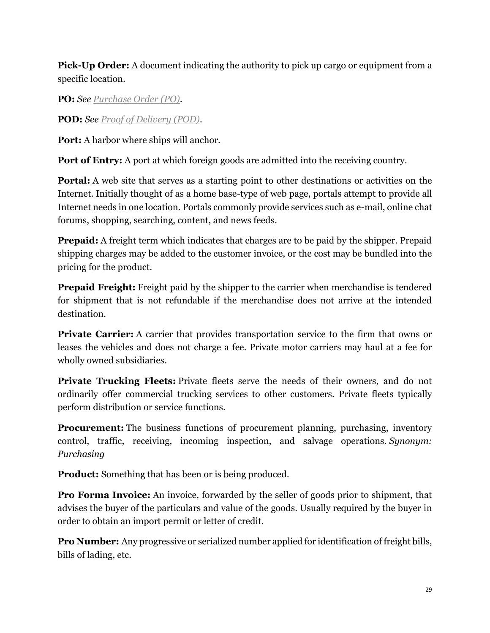**Pick-Up Order:** A document indicating the authority to pick up cargo or equipment from a specific location.

**PO:** *See [Purchase Order \(PO\).](http://www.inboundlogistics.com/cms/logistics-glossary/#Purchase_Order_(PO))*

**POD:** *See [Proof of Delivery \(POD\).](http://www.inboundlogistics.com/cms/logistics-glossary/#Proof_of_Delivery_(POD))*

**Port:** A harbor where ships will anchor.

**Port of Entry:** A port at which foreign goods are admitted into the receiving country.

**Portal:** A web site that serves as a starting point to other destinations or activities on the Internet. Initially thought of as a home base-type of web page, portals attempt to provide all Internet needs in one location. Portals commonly provide services such as e-mail, online chat forums, shopping, searching, content, and news feeds.

**Prepaid:** A freight term which indicates that charges are to be paid by the shipper. Prepaid shipping charges may be added to the customer invoice, or the cost may be bundled into the pricing for the product.

**Prepaid Freight:** Freight paid by the shipper to the carrier when merchandise is tendered for shipment that is not refundable if the merchandise does not arrive at the intended destination.

**Private Carrier:** A carrier that provides transportation service to the firm that owns or leases the vehicles and does not charge a fee. Private motor carriers may haul at a fee for wholly owned subsidiaries.

**Private Trucking Fleets:** Private fleets serve the needs of their owners, and do not ordinarily offer commercial trucking services to other customers. Private fleets typically perform distribution or service functions.

**Procurement:** The business functions of procurement planning, purchasing, inventory control, traffic, receiving, incoming inspection, and salvage operations. *Synonym: Purchasing*

**Product:** Something that has been or is being produced.

**Pro Forma Invoice:** An invoice, forwarded by the seller of goods prior to shipment, that advises the buyer of the particulars and value of the goods. Usually required by the buyer in order to obtain an import permit or letter of credit.

**Pro Number:** Any progressive or serialized number applied for identification of freight bills, bills of lading, etc.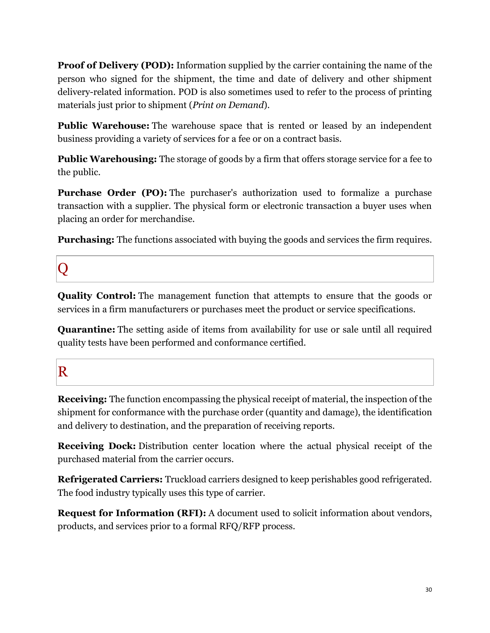**Proof of Delivery (POD):** Information supplied by the carrier containing the name of the person who signed for the shipment, the time and date of delivery and other shipment delivery-related information. POD is also sometimes used to refer to the process of printing materials just prior to shipment (*Print on Demand*).

**Public Warehouse:** The warehouse space that is rented or leased by an independent business providing a variety of services for a fee or on a contract basis.

**Public Warehousing:** The storage of goods by a firm that offers storage service for a fee to the public.

**Purchase Order (PO):** The purchaser's authorization used to formalize a purchase transaction with a supplier. The physical form or electronic transaction a buyer uses when placing an order for merchandise.

**Purchasing:** The functions associated with buying the goods and services the firm requires.

# Q

**Quality Control:** The management function that attempts to ensure that the goods or services in a firm manufacturers or purchases meet the product or service specifications.

**Quarantine:** The setting aside of items from availability for use or sale until all required quality tests have been performed and conformance certified.

## R

**Receiving:** The function encompassing the physical receipt of material, the inspection of the shipment for conformance with the purchase order (quantity and damage), the identification and delivery to destination, and the preparation of receiving reports.

**Receiving Dock:** Distribution center location where the actual physical receipt of the purchased material from the carrier occurs.

**Refrigerated Carriers:** Truckload carriers designed to keep perishables good refrigerated. The food industry typically uses this type of carrier.

**Request for Information (RFI):** A document used to solicit information about vendors, products, and services prior to a formal RFQ/RFP process.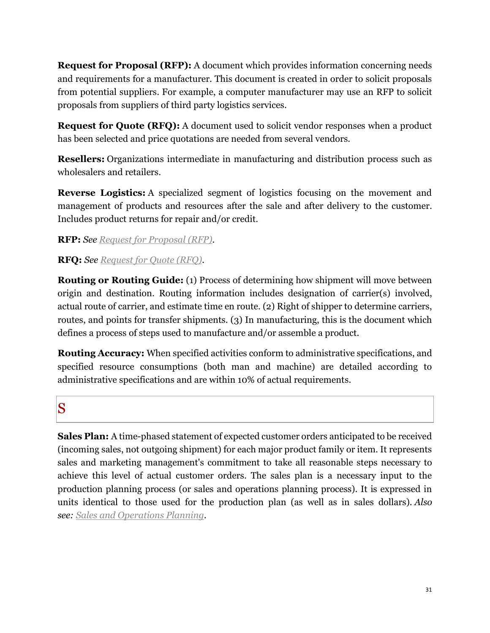**Request for Proposal (RFP):** A document which provides information concerning needs and requirements for a manufacturer. This document is created in order to solicit proposals from potential suppliers. For example, a computer manufacturer may use an RFP to solicit proposals from suppliers of third party logistics services.

**Request for Quote (RFQ):** A document used to solicit vendor responses when a product has been selected and price quotations are needed from several vendors.

**Resellers:** Organizations intermediate in manufacturing and distribution process such as wholesalers and retailers.

**Reverse Logistics:** A specialized segment of logistics focusing on the movement and management of products and resources after the sale and after delivery to the customer. Includes product returns for repair and/or credit.

**RFP:** *See [Request for Proposal \(RFP\).](http://www.inboundlogistics.com/cms/logistics-glossary/#Request_for_Proposal_(RFP))*

### **RFQ:** *See [Request for Quote \(RFQ\).](http://www.inboundlogistics.com/cms/logistics-glossary/#Request_for_Quote_(RFQ))*

**Routing or Routing Guide:** (1) Process of determining how shipment will move between origin and destination. Routing information includes designation of carrier(s) involved, actual route of carrier, and estimate time en route. (2) Right of shipper to determine carriers, routes, and points for transfer shipments. (3) In manufacturing, this is the document which defines a process of steps used to manufacture and/or assemble a product.

**Routing Accuracy:** When specified activities conform to administrative specifications, and specified resource consumptions (both man and machine) are detailed according to administrative specifications and are within 10% of actual requirements.

## S

**Sales Plan:** A time-phased statement of expected customer orders anticipated to be received (incoming sales, not outgoing shipment) for each major product family or item. It represents sales and marketing management's commitment to take all reasonable steps necessary to achieve this level of actual customer orders. The sales plan is a necessary input to the production planning process (or sales and operations planning process). It is expressed in units identical to those used for the production plan (as well as in sales dollars). *Also see: [Sales and Operations Planning.](http://www.inboundlogistics.com/cms/logistics-glossary/#Sales_and_Operations_Planning)*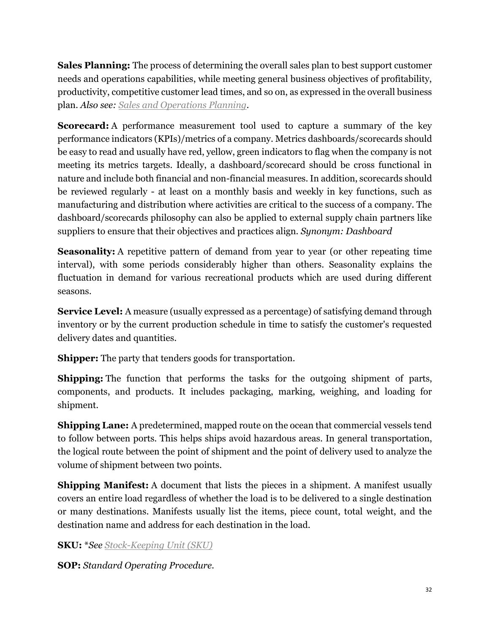**Sales Planning:** The process of determining the overall sales plan to best support customer needs and operations capabilities, while meeting general business objectives of profitability, productivity, competitive customer lead times, and so on, as expressed in the overall business plan. *Also see: [Sales and Operations Planning.](http://www.inboundlogistics.com/cms/logistics-glossary/#Sales_and_Operations_Planning)*

**Scorecard:** A performance measurement tool used to capture a summary of the key performance indicators (KPIs)/metrics of a company. Metrics dashboards/scorecards should be easy to read and usually have red, yellow, green indicators to flag when the company is not meeting its metrics targets. Ideally, a dashboard/scorecard should be cross functional in nature and include both financial and non-financial measures. In addition, scorecards should be reviewed regularly - at least on a monthly basis and weekly in key functions, such as manufacturing and distribution where activities are critical to the success of a company. The dashboard/scorecards philosophy can also be applied to external supply chain partners like suppliers to ensure that their objectives and practices align. *Synonym: Dashboard*

**Seasonality:** A repetitive pattern of demand from year to year (or other repeating time interval), with some periods considerably higher than others. Seasonality explains the fluctuation in demand for various recreational products which are used during different seasons.

**Service Level:** A measure (usually expressed as a percentage) of satisfying demand through inventory or by the current production schedule in time to satisfy the customer's requested delivery dates and quantities.

**Shipper:** The party that tenders goods for transportation.

**Shipping:** The function that performs the tasks for the outgoing shipment of parts, components, and products. It includes packaging, marking, weighing, and loading for shipment.

**Shipping Lane:** A predetermined, mapped route on the ocean that commercial vessels tend to follow between ports. This helps ships avoid hazardous areas. In general transportation, the logical route between the point of shipment and the point of delivery used to analyze the volume of shipment between two points.

**Shipping Manifest:** A document that lists the pieces in a shipment. A manifest usually covers an entire load regardless of whether the load is to be delivered to a single destination or many destinations. Manifests usually list the items, piece count, total weight, and the destination name and address for each destination in the load.

**SKU:** \**See [Stock-Keeping Unit \(SKU\)](http://www.inboundlogistics.com/cms/logistics-glossary/#Stock-Keeping_Unit_(SKU))*

**SOP:** *Standard Operating Procedure.*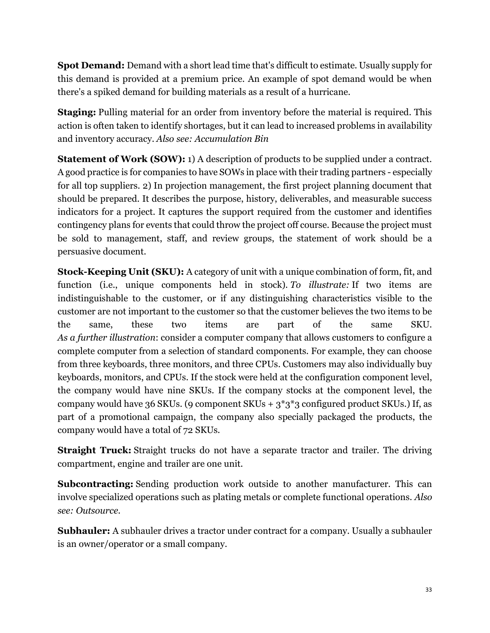**Spot Demand:** Demand with a short lead time that's difficult to estimate. Usually supply for this demand is provided at a premium price. An example of spot demand would be when there's a spiked demand for building materials as a result of a hurricane.

**Staging:** Pulling material for an order from inventory before the material is required. This action is often taken to identify shortages, but it can lead to increased problems in availability and inventory accuracy. *Also see: Accumulation Bin*

**Statement of Work (SOW):** 1) A description of products to be supplied under a contract. A good practice is for companies to have SOWs in place with their trading partners - especially for all top suppliers. 2) In projection management, the first project planning document that should be prepared. It describes the purpose, history, deliverables, and measurable success indicators for a project. It captures the support required from the customer and identifies contingency plans for events that could throw the project off course. Because the project must be sold to management, staff, and review groups, the statement of work should be a persuasive document.

**Stock-Keeping Unit (SKU):** A category of unit with a unique combination of form, fit, and function (i.e., unique components held in stock). *To illustrate:* If two items are indistinguishable to the customer, or if any distinguishing characteristics visible to the customer are not important to the customer so that the customer believes the two items to be the same, these two items are part of the same SKU. *As a further illustration*: consider a computer company that allows customers to configure a complete computer from a selection of standard components. For example, they can choose from three keyboards, three monitors, and three CPUs. Customers may also individually buy keyboards, monitors, and CPUs. If the stock were held at the configuration component level, the company would have nine SKUs. If the company stocks at the component level, the company would have 36 SKUs. (9 component SKUs +  $3*3*3$  configured product SKUs.) If, as part of a promotional campaign, the company also specially packaged the products, the company would have a total of 72 SKUs.

**Straight Truck:** Straight trucks do not have a separate tractor and trailer. The driving compartment, engine and trailer are one unit.

**Subcontracting:** Sending production work outside to another manufacturer. This can involve specialized operations such as plating metals or complete functional operations. *Also see: Outsource.*

**Subhauler:** A subhauler drives a tractor under contract for a company. Usually a subhauler is an owner/operator or a small company.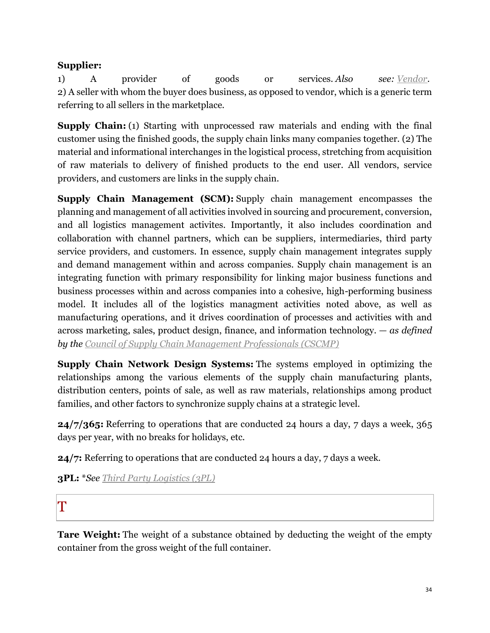### **Supplier:**

1) A provider of goods or services. *Also see: [Vendor](http://www.inboundlogistics.com/cms/logistics-glossary/#Vendor)*. 2) A seller with whom the buyer does business, as opposed to vendor, which is a generic term referring to all sellers in the marketplace.

**Supply Chain:** (1) Starting with unprocessed raw materials and ending with the final customer using the finished goods, the supply chain links many companies together. (2) The material and informational interchanges in the logistical process, stretching from acquisition of raw materials to delivery of finished products to the end user. All vendors, service providers, and customers are links in the supply chain.

**Supply Chain Management (SCM):** Supply chain management encompasses the planning and management of all activities involved in sourcing and procurement, conversion, and all logistics management activites. Importantly, it also includes coordination and collaboration with channel partners, which can be suppliers, intermediaries, third party service providers, and customers. In essence, supply chain management integrates supply and demand management within and across companies. Supply chain management is an integrating function with primary responsibility for linking major business functions and business processes within and across companies into a cohesive, high-performing business model. It includes all of the logistics managment activities noted above, as well as manufacturing operations, and it drives coordination of processes and activities with and across marketing, sales, product design, finance, and information technology. *— as defined by the [Council of Supply Chain Management Professionals \(CSCMP\)](http://www.inboundlogistics.com/cms/logistics-glossary/#Council_of_Supply_Chain_Management_Professionals_(CSCMP))*

**Supply Chain Network Design Systems:** The systems employed in optimizing the relationships among the various elements of the supply chain manufacturing plants, distribution centers, points of sale, as well as raw materials, relationships among product families, and other factors to synchronize supply chains at a strategic level.

**24/7/365:** Referring to operations that are conducted 24 hours a day, 7 days a week, 365 days per year, with no breaks for holidays, etc.

**24/7:** Referring to operations that are conducted 24 hours a day, 7 days a week.

**3PL:** \**See [Third Party Logistics \(3PL\)](http://www.inboundlogistics.com/cms/logistics-glossary/#Third_Party_Logistics_(3PL))*

## $\rm T$

**Tare Weight:** The weight of a substance obtained by deducting the weight of the empty container from the gross weight of the full container.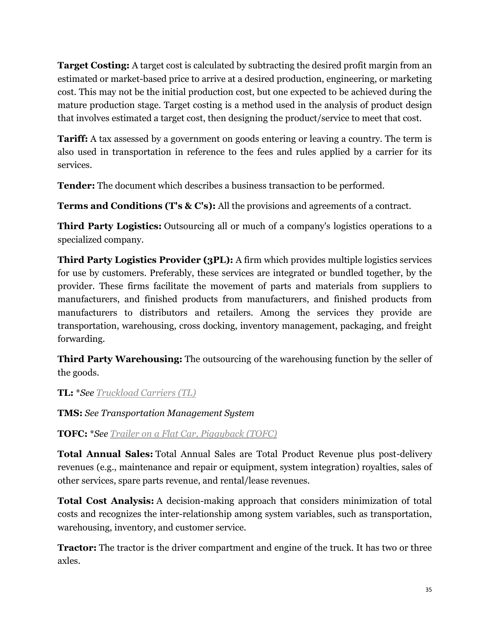**Target Costing:** A target cost is calculated by subtracting the desired profit margin from an estimated or market-based price to arrive at a desired production, engineering, or marketing cost. This may not be the initial production cost, but one expected to be achieved during the mature production stage. Target costing is a method used in the analysis of product design that involves estimated a target cost, then designing the product/service to meet that cost.

**Tariff:** A tax assessed by a government on goods entering or leaving a country. The term is also used in transportation in reference to the fees and rules applied by a carrier for its services.

**Tender:** The document which describes a business transaction to be performed.

**Terms and Conditions (T's & C's):** All the provisions and agreements of a contract.

**Third Party Logistics:** Outsourcing all or much of a company's logistics operations to a specialized company.

**Third Party Logistics Provider (3PL):** A firm which provides multiple logistics services for use by customers. Preferably, these services are integrated or bundled together, by the provider. These firms facilitate the movement of parts and materials from suppliers to manufacturers, and finished products from manufacturers, and finished products from manufacturers to distributors and retailers. Among the services they provide are transportation, warehousing, cross docking, inventory management, packaging, and freight forwarding.

**Third Party Warehousing:** The outsourcing of the warehousing function by the seller of the goods.

**TL:** \**See [Truckload Carriers \(TL\)](http://www.inboundlogistics.com/cms/logistics-glossary/#Truckload_Carriers_(TL))*

**TMS:** *See Transportation Management System*

**TOFC:** \**See [Trailer on a Flat Car, Piggyback \(TOFC\)](http://www.inboundlogistics.com/cms/logistics-glossary/#Trailer_on_a_Flat_Car,_Piggyback_(TOFC))*

**Total Annual Sales:** Total Annual Sales are Total Product Revenue plus post-delivery revenues (e.g., maintenance and repair or equipment, system integration) royalties, sales of other services, spare parts revenue, and rental/lease revenues.

**Total Cost Analysis:** A decision-making approach that considers minimization of total costs and recognizes the inter-relationship among system variables, such as transportation, warehousing, inventory, and customer service.

**Tractor:** The tractor is the driver compartment and engine of the truck. It has two or three axles.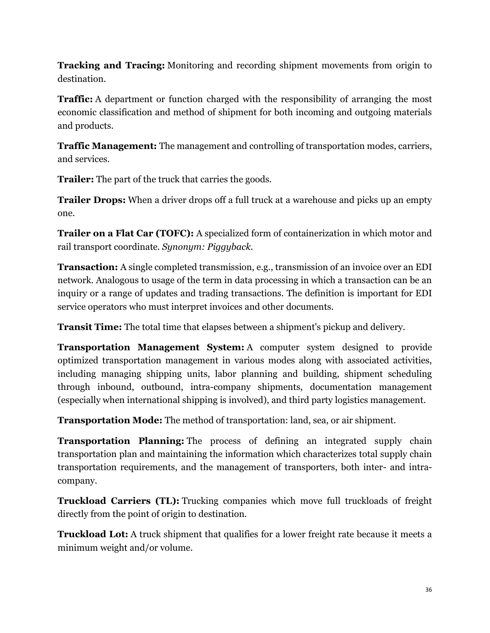**Tracking and Tracing:** Monitoring and recording shipment movements from origin to destination.

**Traffic:** A department or function charged with the responsibility of arranging the most economic classification and method of shipment for both incoming and outgoing materials and products.

**Traffic Management:** The management and controlling of transportation modes, carriers, and services.

**Trailer:** The part of the truck that carries the goods.

**Trailer Drops:** When a driver drops off a full truck at a warehouse and picks up an empty one.

**Trailer on a Flat Car (TOFC):** A specialized form of containerization in which motor and rail transport coordinate. *Synonym: Piggyback.*

**Transaction:** A single completed transmission, e.g., transmission of an invoice over an EDI network. Analogous to usage of the term in data processing in which a transaction can be an inquiry or a range of updates and trading transactions. The definition is important for EDI service operators who must interpret invoices and other documents.

**Transit Time:** The total time that elapses between a shipment's pickup and delivery.

**Transportation Management System:** A computer system designed to provide optimized transportation management in various modes along with associated activities, including managing shipping units, labor planning and building, shipment scheduling through inbound, outbound, intra-company shipments, documentation management (especially when international shipping is involved), and third party logistics management.

**Transportation Mode:** The method of transportation: land, sea, or air shipment.

**Transportation Planning:** The process of defining an integrated supply chain transportation plan and maintaining the information which characterizes total supply chain transportation requirements, and the management of transporters, both inter- and intracompany.

**Truckload Carriers (TL):** Trucking companies which move full truckloads of freight directly from the point of origin to destination.

**Truckload Lot:** A truck shipment that qualifies for a lower freight rate because it meets a minimum weight and/or volume.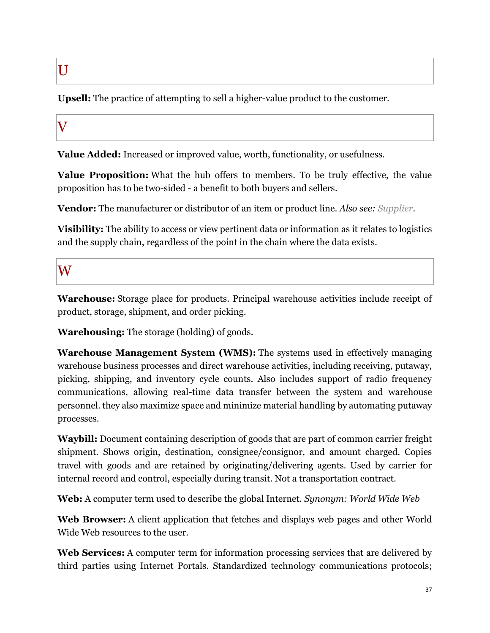# $\mathbf U$

**Upsell:** The practice of attempting to sell a higher-value product to the customer.

## $\overline{\mathbf{V}}$

**Value Added:** Increased or improved value, worth, functionality, or usefulness.

**Value Proposition:** What the hub offers to members. To be truly effective, the value proposition has to be two-sided - a benefit to both buyers and sellers.

**Vendor:** The manufacturer or distributor of an item or product line. *Also see: [Supplier.](http://www.inboundlogistics.com/cms/logistics-glossary/#Supplier)*

**Visibility:** The ability to access or view pertinent data or information as it relates to logistics and the supply chain, regardless of the point in the chain where the data exists.

### W

**Warehouse:** Storage place for products. Principal warehouse activities include receipt of product, storage, shipment, and order picking.

**Warehousing:** The storage (holding) of goods.

**Warehouse Management System (WMS):** The systems used in effectively managing warehouse business processes and direct warehouse activities, including receiving, putaway, picking, shipping, and inventory cycle counts. Also includes support of radio frequency communications, allowing real-time data transfer between the system and warehouse personnel. they also maximize space and minimize material handling by automating putaway processes.

**Waybill:** Document containing description of goods that are part of common carrier freight shipment. Shows origin, destination, consignee/consignor, and amount charged. Copies travel with goods and are retained by originating/delivering agents. Used by carrier for internal record and control, especially during transit. Not a transportation contract.

**Web:** A computer term used to describe the global Internet. *Synonym: World Wide Web*

**Web Browser:** A client application that fetches and displays web pages and other World Wide Web resources to the user.

**Web Services:** A computer term for information processing services that are delivered by third parties using Internet Portals. Standardized technology communications protocols;